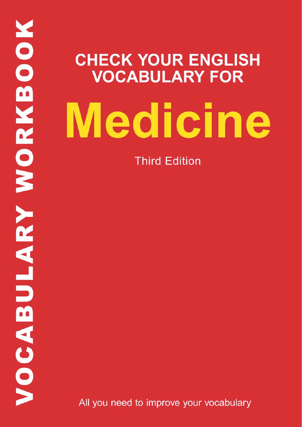# **CHECK YOUR ENGLISH VOCABULARY FOR** Medicine

**Third Edition** 

All you need to improve your vocabulary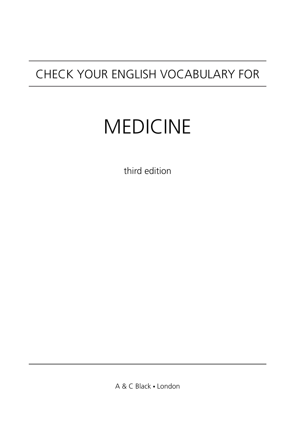# CHECK YOUR ENGLISH VOCABULARY FOR

# MEDICINE

third edition

A & C Black . London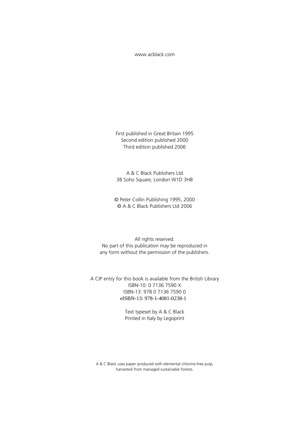[www.acblack.com](http://www.acblack.com)

First published in Great Britain 1995 Second edition published 2000 Third edition published 2006

A & C Black Publishers Ltd 38 Soho Square, London W1D 3HB

© Peter Collin Publishing 1995, 2000 © A & C Black Publishers Ltd 2006

All rights reserved. No part of this publication may be reproduced in any form without the permission of the publishers.

A CIP entry for this book is available from the British Library ISBN-10: 0 7136 7590 X ISBN-13: 978 0 7136 7590 0 eISBN-13: 978-1-4081-0238-1

> Text typeset by A & C Black Printed in Italy by Legoprint

A & C Black uses paper produced with elemental chlorine-free pulp, harvested from managed sustainable forests.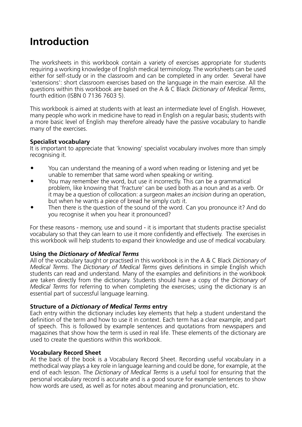## **Introduction**

The worksheets in this workbook contain a variety of exercises appropriate for students requiring a working knowledge of English medical terminology. The worksheets can be used either for self-study or in the classroom and can be completed in any order. Several have 'extensions': short classroom exercises based on the language in the main exercise. All the questions within this workbook are based on the A & C Black *Dictionary of Medical Terms*, fourth edition (ISBN 0 7136 7603 5).

This workbook is aimed at students with at least an intermediate level of English. However, many people who work in medicine have to read in English on a regular basis; students with a more basic level of English may therefore already have the passive vocabulary to handle many of the exercises.

### **Specialist vocabulary**

It is important to appreciate that 'knowing' specialist vocabulary involves more than simply recognising it.

- You can understand the meaning of a word when reading or listening and yet be unable to remember that same word when speaking or writing.
- You may remember the word, but use it incorrectly. This can be a grammatical problem, like knowing that 'fracture' can be used both as a noun and as a verb. Or it may be a question of collocation: a surgeon *makes an incision* during an operation, but when he wants a piece of bread he simply *cuts* it.
- Then there is the question of the sound of the word. Can you pronounce it? And do you recognise it when you hear it pronounced?

For these reasons - memory, use and sound - it is important that students practise specialist vocabulary so that they can learn to use it more confidently and effectively. The exercises in this workbook will help students to expand their knowledge and use of medical vocabulary.

### **Using the** *Dictionary of Medical Terms*

All of the vocabulary taught or practised in this workbook is in the A & C Black *Dictionary of Medical Terms*. The *Dictionary of Medical Terms* gives definitions in simple English which students can read and understand. Many of the examples and definitions in the workbook are taken directly from the dictionary. Students should have a copy of the *Dictionary of Medical Terms* for referring to when completing the exercises; using the dictionary is an essential part of successful language learning.

### **Structure of a** *Dictionary of Medical Terms* **entry**

Each entry within the dictionary includes key elements that help a student understand the definition of the term and how to use it in context. Each term has a clear example, and part of speech. This is followed by example sentences and quotations from newspapers and magazines that show how the term is used in real life. These elements of the dictionary are used to create the questions within this workbook.

### **Vocabulary Record Sheet**

At the back of the book is a Vocabulary Record Sheet. Recording useful vocabulary in a methodical way plays a key role in language learning and could be done, for example, at the end of each lesson. The *Dictionary of Medical Terms* is a useful tool for ensuring that the personal vocabulary record is accurate and is a good source for example sentences to show how words are used, as well as for notes about meaning and pronunciation, etc.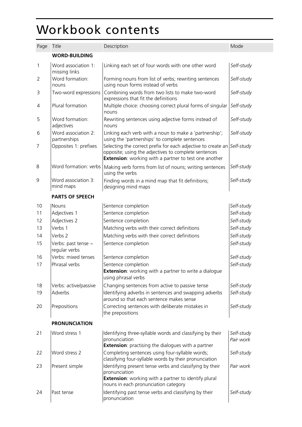# Workbook contents

| Page           | Title                                | Description                                                                                                                                                                                     | Mode                     |
|----------------|--------------------------------------|-------------------------------------------------------------------------------------------------------------------------------------------------------------------------------------------------|--------------------------|
|                | <b>WORD-BUILDING</b>                 |                                                                                                                                                                                                 |                          |
| 1              | Word association 1:<br>missing links | Linking each set of four words with one other word                                                                                                                                              | Self-study               |
| $\overline{2}$ | Word formation:<br>nouns             | Forming nouns from list of verbs; rewriting sentences<br>using noun forms instead of verbs                                                                                                      | Self-study               |
| 3              | Two-word expressions                 | Combining words from two lists to make two-word<br>expressions that fit the definitions                                                                                                         | Self-study               |
| 4              | Plural formation                     | Multiple choice: choosing correct plural forms of singular<br>nouns                                                                                                                             | Self-study               |
| 5              | Word formation:<br>adjectives        | Rewriting sentences using adjective forms instead of<br>nouns                                                                                                                                   | Self-study               |
| 6              | Word association 2:<br>partnerships  | Linking each verb with a noun to make a 'partnership';<br>using the 'partnerships' to complete sentences                                                                                        | Self-study               |
| 7              | Opposites 1: prefixes                | Selecting the correct prefix for each adjective to create an Self-study<br>opposite; using the adjectives to complete sentences<br><b>Extension:</b> working with a partner to test one another |                          |
| 8              | Word formation: verbs                | Making verb forms from list of nouns; writing sentences<br>using the verbs                                                                                                                      | Self-study               |
| 9              | Word association 3:<br>mind maps     | Finding words in a mind map that fit definitions;<br>designing mind maps                                                                                                                        | Self-study               |
|                | <b>PARTS OF SPEECH</b>               |                                                                                                                                                                                                 |                          |
| 10             | <b>Nouns</b>                         | Sentence completion                                                                                                                                                                             | Self-study               |
| 11             | Adjectives 1                         | Sentence completion                                                                                                                                                                             | Self-study               |
| 12             | Adjectives 2                         | Sentence completion                                                                                                                                                                             | Self-study               |
| 13             | Verbs 1                              | Matching verbs with their correct definitions                                                                                                                                                   | Self-study               |
| 14             | Verbs 2                              | Matching verbs with their correct definitions                                                                                                                                                   | Self-study               |
| 15             | Verbs: past tense ~<br>regular verbs | Sentence completion                                                                                                                                                                             | Self-study               |
| 16             | Verbs: mixed tenses                  | Sentence completion                                                                                                                                                                             | Self-study               |
| 17             | Phrasal verbs                        | Sentence completion<br><b>Extension:</b> working with a partner to write a dialogue<br>using phrasal verbs                                                                                      | Self-study               |
| 18<br>19       | Verbs: active/passive<br>Adverbs     | Changing sentences from active to passive tense<br>Identifying adverbs in sentences and swapping adverbs                                                                                        | Self-study<br>Self-study |
|                |                                      | around so that each sentence makes sense                                                                                                                                                        |                          |
| 20             | Prepositions                         | Correcting sentences with deliberate mistakes in<br>the prepositions                                                                                                                            | Self-study               |
|                | <b>PRONUNCIATION</b>                 |                                                                                                                                                                                                 |                          |
| 21             | Word stress 1                        | Identifying three-syllable words and classifying by their<br>pronunciation<br><b>Extension:</b> practising the dialogues with a partner                                                         | Self-study<br>Pair work  |
| 22             | Word stress 2                        | Completing sentences using four-syllable words;<br>classifying four-syllable words by their pronunciation                                                                                       | Self-study               |
| 23             | Present simple                       | Identifying present tense verbs and classifying by their<br>pronunciation<br><b>Extension:</b> working with a partner to identify plural<br>nouns in each pronunciation category                | Pair work                |
| 24             | Past tense                           | Identifying past tense verbs and classifying by their<br>pronunciation                                                                                                                          | Self-study               |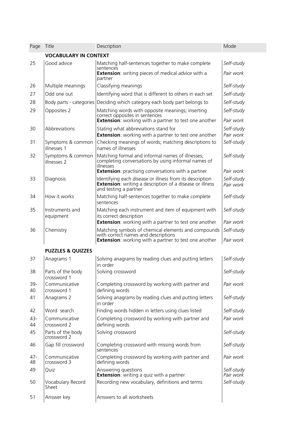| Page      | Title                            | Description                                                                                                                                                | Mode                    |
|-----------|----------------------------------|------------------------------------------------------------------------------------------------------------------------------------------------------------|-------------------------|
|           | <b>VOCABULARY IN CONTEXT</b>     |                                                                                                                                                            |                         |
| 25        | Good advice                      | Matching half-sentences together to make complete<br>sentences                                                                                             | Self-study              |
|           |                                  | <b>Extension:</b> writing pieces of medical advice with a<br>partner                                                                                       | Pair work               |
| 26        | Multiple meanings                | Classifying meanings                                                                                                                                       | Self-study              |
| 27        | Odd one out                      | Identifying word that is different to others in each set                                                                                                   | Self-study              |
| 28        | Body parts - categories          | Deciding which category each body part belongs to                                                                                                          | Self-study              |
| 29        | Opposites 2                      | Matching words with opposite meanings; inserting<br>correct opposites in sentences<br><b>Extension:</b> working with a partner to test one another         | Self-study<br>Pair work |
| 30        | Abbreviations                    | Stating what abbreviations stand for                                                                                                                       | Self-study              |
|           |                                  | <b>Extension:</b> working with a partner to test one another                                                                                               | Pair work               |
| 31        | Symptoms & common<br>illnesses 1 | Checking meanings of words; matching descriptions to<br>names of illnesses                                                                                 | Self-study              |
| 32        | Symptoms & common<br>illnesses 2 | Matching formal and informal names of illnesses;<br>completing conversations by using informal names of<br>illnesses                                       | Self-study              |
|           |                                  | Extension: practising conversations with a partner                                                                                                         | Pair work               |
| 33        | Diagnosis                        | Identifying each disease or illness from its description<br><b>Extension:</b> writing a description of a disease or illness<br>and testing a partner       | Self-study<br>Pair work |
| 34        | How it works                     | Matching half-sentences together to make complete<br>sentences                                                                                             | Self-study              |
| 35        | Instruments and<br>equipment     | Matching each instrument and item of equipment with<br>its correct description                                                                             | Self-study              |
|           |                                  | <b>Extension:</b> working with a partner to test one another                                                                                               | Pair work               |
| 36        | Chemistry                        | Matching symbols of chemical elements and compounds<br>with correct names and descriptions<br><b>Extension:</b> working with a partner to test one another | Self-study<br>Pair work |
|           | <b>PUZZLES &amp; QUIZZES</b>     |                                                                                                                                                            |                         |
| 37        | Anagrams 1                       | Solving anagrams by reading clues and putting letters<br>in order                                                                                          | Self-study              |
| 38        | Parts of the body<br>crossword 1 | Solving crossword                                                                                                                                          | Self-study              |
| 39-<br>40 | Communicative<br>crossword 1     | Completing crossword by working with partner and<br>defining words                                                                                         | Pair work               |
| 41        | Anagrams 2                       | Solving anagrams by reading clues and putting letters<br>in order                                                                                          | Self-study              |
| 42        | Word search                      | Finding words hidden in letters using clues listed                                                                                                         | Self-study              |
| 43-<br>44 | Communicative<br>crossword 2     | Completing crossword by working with partner and<br>defining words                                                                                         | Pair work               |
| 45        | Parts of the body<br>crossword 2 | Solving crossword                                                                                                                                          | Self-study              |
| 46        | Gap fill crossword               | Completing crossword with missing words from<br>sentences                                                                                                  | Self-study              |
| 47-<br>48 | Communicative<br>crossword 3     | Completing crossword by working with partner and<br>defining words                                                                                         | Pair work               |
| 49        | Quiz                             | Answering questions<br><b>Extension:</b> writing a quiz with a partner                                                                                     | Self-study<br>Pair work |
| 50        | Vocabulary Record<br>Sheet       | Recording new vocabulary, definitions and terms                                                                                                            | Self-study              |
| 51        | Answer key                       | Answers to all worksheets                                                                                                                                  |                         |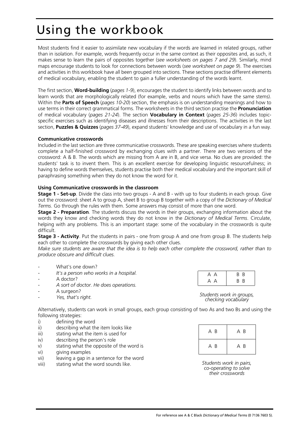# Using the workbook

Most students find it easier to assimilate new vocabulary if the words are learned in related groups, rather than in isolation. For example, words frequently occur in the same context as their opposites and, as such, it makes sense to learn the pairs of opposites together (*see worksheets on [pages 7](#page-13-0) and [29](#page-35-0)*). Similarly, mind maps encourage students to look for connections between words (*see worksheet on [page 9](#page-15-0)*). The exercises and activities in this workbook have all been grouped into sections. These sections practise different elements of medical vocabulary, enabling the student to gain a fuller understanding of the words learnt.

The first section, **Word-building** (*pages 1-9*), encourages the student to identify links between words and to learn words that are morphologically related (for example, verbs and nouns which have the same stems). Within the **Parts of Speech** (*pages 10-20*) section, the emphasis is on understanding meanings and how to use terms in their correct grammatical forms. The worksheets in the third section practise the **Pronunciation** of medical vocabulary (*pages 21-24*). The section **Vocabulary in Context** (*pages 25-36*) includes topicspecific exercises such as identifying diseases and illnesses from their descriptions. The activities in the last section, **Puzzles & Quizzes** (*pages 37-49*), expand students' knowledge and use of vocabulary in a fun way.

#### **Communicative crosswords**

Included in the last section are three communicative crosswords. These are speaking exercises where students complete a half-finished crossword by exchanging clues with a partner. There are two versions of the crossword: A & B. The words which are missing from A are in B, and vice versa. No clues are provided: the students' task is to invent them. This is an excellent exercise for developing linguistic resourcefulness; in having to define words themselves, students practise both their medical vocabulary and the important skill of paraphrasing something when they do not know the word for it.

#### **Using Communicative crosswords in the classroom**

**Stage 1 - Set-up**. Divide the class into two groups - A and B - with up to four students in each group. Give out the crossword: sheet A to group A, sheet B to group B together with a copy of the *Dictionary of Medical Terms*. Go through the rules with them. Some answers may consist of more than one word.

**Stage 2 - Preparation**. The students discuss the words in their groups, exchanging information about the words they know and checking words they do not know in the *Dictionary of Medical Terms*. Circulate, helping with any problems. This is an important stage: some of the vocabulary in the crosswords is quite difficult.

**Stage 3 - Activity**. Put the students in pairs - one from group A and one from group B. The students help each other to complete the crosswords by giving each other clues.

*Make sure students are aware that the idea is to help each other complete the crossword, rather than to produce obscure and difficult clues.*

- What's one down?
- *It's a person who works in a hospital.*
- A doctor?
- *A sort of doctor. He does operations.*
- A surgeon?
- *Yes, that's right.*

*Students work in groups,*

B B B B

A A A A

*checking vocabulary*

Alternatively, students can work in small groups, each group consisting of two As and two Bs and using the following strategies:

- i) defining the word
- ii) describing what the item looks like
- iii) stating what the item is used for
- iv) describing the person's role
- v) stating what the opposite of the word is
- vi) giving examples
- vii) leaving a gap in a sentence for the word
- viii) stating what the word sounds like.

| A B | A B |
|-----|-----|
| A B | A B |

*Students work in pairs, co-operating to solve their crosswords*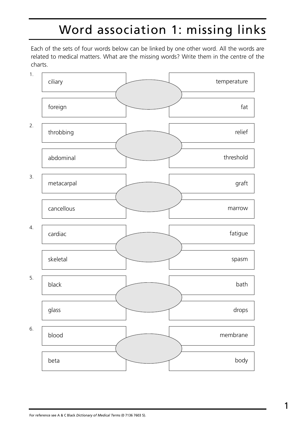# Word association 1: missing links

<span id="page-7-0"></span>Each of the sets of four words below can be linked by one other word. All the words are related to medical matters. What are the missing words? Write them in the centre of the charts.

| $\overline{1}$ . | ciliary    | temperature |
|------------------|------------|-------------|
|                  | foreign    | fat         |
| 2.               | throbbing  | relief      |
|                  | abdominal  | threshold   |
| 3.               | metacarpal | graft       |
|                  | cancellous | marrow      |
| 4.               | cardiac    | fatigue     |
|                  | skeletal   | spasm       |
| 5.               | black      | bath        |
|                  | glass      | drops       |
| 6.               | blood      | membrane    |
|                  | beta       | body        |

1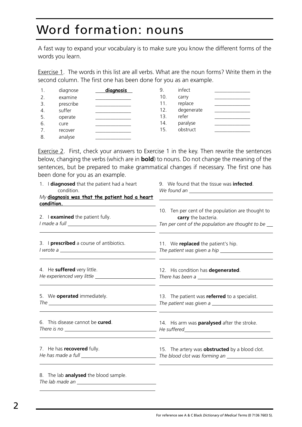# <span id="page-8-0"></span>Word formation: nouns

A fast way to expand your vocabulary is to make sure you know the different forms of the words you learn.

Exercise 1. The words in this list are all verbs. What are the noun forms? Write them in the second column. The first one has been done for you as an example.

| 1. | diagnose  | <u>diagnosis</u> | 9.  | infect     |
|----|-----------|------------------|-----|------------|
| 2. | examine   |                  | 10. | carry      |
| 3. | prescribe |                  | 11. | replace    |
| 4. | suffer    |                  | 12. | degenerate |
| 5. | operate   |                  | 13. | refer      |
| 6. | cure      |                  | 14. | paralyse   |
| 7. | recover   |                  | 15. | obstruct   |
| 8. | analyse   |                  |     |            |

Exercise 2. First, check your answers to Exercise 1 in the key. Then rewrite the sentences below, changing the verbs (which are in **bold**) to nouns. Do not change the meaning of the sentences, but be prepared to make grammatical changes if necessary. The first one has been done for you as an example.

| 1. I diagnosed that the patient had a heart<br>condition.                                                                                         | 9. We found that the tissue was <b>infected</b> .                                                                                                                                                                                                                                                                                                                                                  |
|---------------------------------------------------------------------------------------------------------------------------------------------------|----------------------------------------------------------------------------------------------------------------------------------------------------------------------------------------------------------------------------------------------------------------------------------------------------------------------------------------------------------------------------------------------------|
| My diagnosis was that the patient had a heart                                                                                                     |                                                                                                                                                                                                                                                                                                                                                                                                    |
| condition. The condition of the condition of the condition of the condition of the condition of the condition<br>2. I examined the patient fully. | 10. Ten per cent of the population are thought to<br>carry the bacteria.<br>Ten per cent of the population are thought to be __                                                                                                                                                                                                                                                                    |
| 3. I <b>prescribed</b> a course of antibiotics.                                                                                                   | 11. We replaced the patient's hip.<br>I wrote a <u>contract the particle of the patient</u> was given a hip contract the matter of the contract of the patient was given a hip contract of the matter of the matter of the matter of the matter of the matter of the matt<br><u> 1989 - Johann Harry Harry Harry Harry Harry Harry Harry Harry Harry Harry Harry Harry Harry Harry Harry Harry</u> |
| 4. He suffered very little.                                                                                                                       | 12. His condition has <b>degenerated</b> .<br><u> 1989 - Johann Stein, marwolaethau a bhann an t-Albann an t-Albann an t-Albann an t-Albann an t-Albann an t-Al</u>                                                                                                                                                                                                                                |
| 5. We <b>operated</b> immediately.                                                                                                                | 13. The patient was referred to a specialist.                                                                                                                                                                                                                                                                                                                                                      |
| 6. This disease cannot be cured.                                                                                                                  | 14. His arm was <b>paralysed</b> after the stroke.                                                                                                                                                                                                                                                                                                                                                 |
| 7. He has <b>recovered</b> fully.                                                                                                                 | 15. The artery was <b>obstructed</b> by a blood clot.                                                                                                                                                                                                                                                                                                                                              |
| 8. The lab <b>analysed</b> the blood sample.                                                                                                      |                                                                                                                                                                                                                                                                                                                                                                                                    |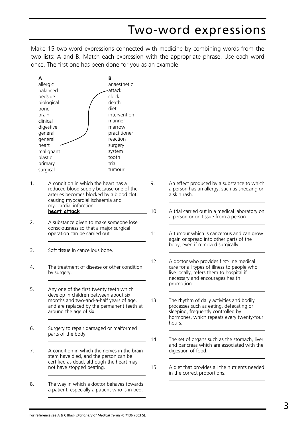## Two-word expressions

<span id="page-9-0"></span>Make 15 two-word expressions connected with medicine by combining words from the two lists: A and B. Match each expression with the appropriate phrase. Use each word once. The first one has been done for you as an example.

| A<br>bone<br>brain<br>heart | allergic<br>balanced<br>bedside<br>biological<br>clinical<br>digestive<br>general<br>general<br>malignant<br>plastic                                                                                | B<br>anaesthetic<br>attack<br>clock<br>death<br>diet<br>intervention<br>manner<br>marrow<br>practitioner<br>reaction<br>surgery<br>system<br>tooth |     |                                                                                                                                                                                      |
|-----------------------------|-----------------------------------------------------------------------------------------------------------------------------------------------------------------------------------------------------|----------------------------------------------------------------------------------------------------------------------------------------------------|-----|--------------------------------------------------------------------------------------------------------------------------------------------------------------------------------------|
|                             | primary<br>surgical                                                                                                                                                                                 | trial<br>tumour                                                                                                                                    |     |                                                                                                                                                                                      |
| 1.                          | A condition in which the heart has a<br>reduced blood supply because one of the<br>arteries becomes blocked by a blood clot,<br>causing myocardial ischaemia and<br>myocardial infarction           |                                                                                                                                                    | 9.  | An effect produced by a substance to which<br>a person has an allergy, such as sneezing or<br>a skin rash.                                                                           |
|                             | heart attack                                                                                                                                                                                        |                                                                                                                                                    | 10. | A trial carried out in a medical laboratory on<br>a person or on tissue from a person.                                                                                               |
| 2.                          | A substance given to make someone lose<br>consciousness so that a major surgical<br>operation can be carried out                                                                                    |                                                                                                                                                    | 11. | A tumour which is cancerous and can grow<br>again or spread into other parts of the                                                                                                  |
| 3.                          | Soft tissue in cancellous bone.                                                                                                                                                                     |                                                                                                                                                    |     | body, even if removed surgically.                                                                                                                                                    |
| 4.                          | The treatment of disease or other condition<br>by surgery.                                                                                                                                          |                                                                                                                                                    | 12. | A doctor who provides first-line medical<br>care for all types of illness to people who<br>live locally, refers them to hospital if<br>necessary and encourages health<br>promotion. |
| 5.                          | Any one of the first twenty teeth which<br>develop in children between about six<br>months and two-and-a-half years of age,<br>and are replaced by the permanent teeth at<br>around the age of six. |                                                                                                                                                    | 13. | The rhythm of daily activities and bodily<br>processes such as eating, defecating or<br>sleeping, frequently controlled by<br>hormones, which repeats every twenty-four<br>hours.    |
| 6.                          | Surgery to repair damaged or malformed<br>parts of the body.                                                                                                                                        |                                                                                                                                                    |     |                                                                                                                                                                                      |
| 7.                          | A condition in which the nerves in the brain<br>stem have died, and the person can be<br>certified as dead, although the heart may                                                                  |                                                                                                                                                    | 14. | The set of organs such as the stomach, liver<br>and pancreas which are associated with the<br>digestion of food.                                                                     |
|                             | not have stopped beating.                                                                                                                                                                           |                                                                                                                                                    | 15. | A diet that provides all the nutrients needed<br>in the correct proportions.                                                                                                         |
| 8.                          | The way in which a doctor behaves towards<br>a patient, especially a patient who is in bed.                                                                                                         |                                                                                                                                                    |     |                                                                                                                                                                                      |
|                             |                                                                                                                                                                                                     |                                                                                                                                                    |     |                                                                                                                                                                                      |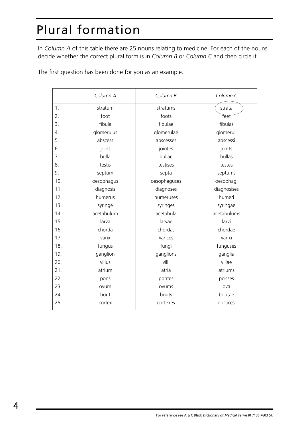# <span id="page-10-0"></span>Plural formation

In *Column A* of this table there are 25 nouns relating to medicine. For each of the nouns decide whether the correct plural form is in *Column B* or *Column C* and then circle it.

The first question has been done for you as an example.

|     | Column A   | Column B     | Column C    |
|-----|------------|--------------|-------------|
| 1.  | stratum    | stratums     | strata      |
| 2.  | foot       | foots        | feet        |
| 3.  | fibula     | fibulae      | fibulas     |
| 4.  | glomerulus | glomerulae   | glomeruli   |
| 5.  | abscess    | abscesses    | abscessi    |
| 6.  | joint      | jointes      | joints      |
| 7.  | bulla      | bullae       | bullas      |
| 8.  | testis     | testises     | testes      |
| 9.  | septum     | septa        | septums     |
| 10. | oesophagus | oesophaguses | oesophagi   |
| 11. | diagnosis  | diagnoses    | diagnosises |
| 12. | humerus    | humeruses    | humeri      |
| 13. | syringe    | syringes     | syringae    |
| 14. | acetabulum | acetabula    | acetabulums |
| 15. | larva      | larvae       | larvi       |
| 16. | chorda     | chordas      | chordae     |
| 17. | varix      | varices      | varixi      |
| 18. | fungus     | fungi        | funguses    |
| 19. | ganglion   | ganglions    | ganglia     |
| 20. | villus     | villi        | villae      |
| 21. | atrium     | atria        | atriums     |
| 22. | pons       | pontes       | ponses      |
| 23. | ovum       | ovums        | ova         |
| 24. | bout       | bouts        | boutae      |
| 25. | cortex     | cortexes     | cortices    |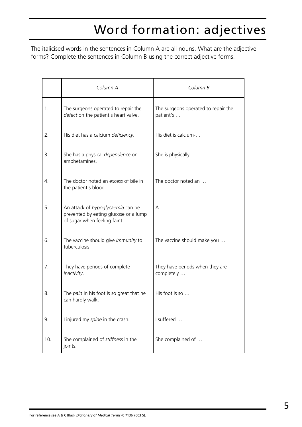# Word formation: adjectives

<span id="page-11-0"></span>The italicised words in the sentences in Column A are all nouns. What are the adjective forms? Complete the sentences in Column B using the correct adjective forms.

|     | Column A                                                                                                   | Column B                                         |
|-----|------------------------------------------------------------------------------------------------------------|--------------------------------------------------|
| 1.  | The surgeons operated to repair the<br>defect on the patient's heart valve.                                | The surgeons operated to repair the<br>patient's |
| 2.  | His diet has a calcium deficiency.                                                                         | His diet is calcium-                             |
| 3.  | She has a physical dependence on<br>amphetamines.                                                          | She is physically                                |
| 4.  | The doctor noted an excess of bile in<br>the patient's blood.                                              | The doctor noted an                              |
| 5.  | An attack of hypoglycaemia can be<br>prevented by eating glucose or a lump<br>of sugar when feeling faint. | A                                                |
| 6.  | The vaccine should give immunity to<br>tuberculosis.                                                       | The vaccine should make you                      |
| 7.  | They have periods of complete<br>inactivity.                                                               | They have periods when they are<br>completely    |
| 8.  | The pain in his foot is so great that he<br>can hardly walk.                                               | His foot is so                                   |
| 9.  | I injured my spine in the crash.                                                                           | I suffered                                       |
| 10. | She complained of stiffness in the<br>joints.                                                              | She complained of                                |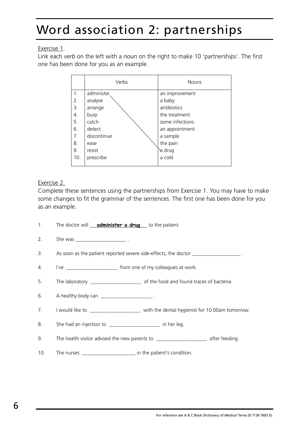# <span id="page-12-0"></span>Word association 2: partnerships

### Exercise 1.

Link each *verb* on the left with a *noun* on the right to make 10 'partnerships'. The first one has been done for you as an example.

|                | Verbs       | <b>Nouns</b>    |
|----------------|-------------|-----------------|
| 1 <sub>1</sub> | administer  | an improvement  |
| 2.             | analyse     | a baby          |
| 3.             | arrange     | antibiotics     |
| 4.             | burp        | the treatment   |
| 5.             | catch       | some infections |
| 6.             | detect      | an appointment  |
| 7.             | discontinue | a sample        |
| 8.             | ease        | the pain        |
| 9.             | resist      | `a drug         |
| 10.            | prescribe   | a cold          |
|                |             |                 |

### Exercise 2.

Complete these sentences using the partnerships from Exercise 1. You may have to make some changes to fit the grammar of the sentences. The first one has been done for you as an example.

- 1. The doctor will **administer a drug** to the patient.
- 2. She was \_\_\_\_\_\_\_\_\_\_\_\_\_\_\_\_\_\_\_\_ .
- 3. As soon as the patient reported severe side-effects, the doctor \_\_\_\_\_\_\_\_\_\_\_\_\_
- 4. I've \_\_\_\_\_\_\_\_\_\_\_\_\_\_\_\_\_\_\_\_\_\_\_ from one of my colleagues at work.
- 5. The laboratory \_\_\_\_\_\_\_\_\_\_\_\_\_\_\_\_\_\_\_\_ of the food and found traces of bacteria.
- 6. A healthy body can \_\_\_\_\_\_\_\_\_\_\_\_\_\_\_\_\_\_\_\_\_\_\_\_\_\_.
- 7. I would like to \_\_\_\_\_\_\_\_\_\_\_\_\_\_\_\_\_\_\_\_\_\_ with the dental hygienist for 10.00am tomorrow.
- 8. She had an injection to \_\_\_\_\_\_\_\_\_\_\_\_\_\_\_\_\_\_\_\_\_\_\_\_ in her leg.
- 9. The health visitor advised the new parents to \_\_\_\_\_\_\_\_\_\_\_\_\_\_\_\_\_\_\_\_\_\_\_ after feeding.
- 10. The nurses **the condition** in the patient's condition.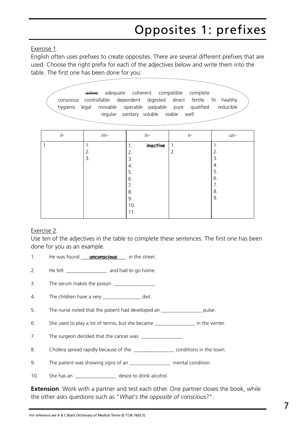# Opposites 1: prefixes

<span id="page-13-0"></span>Exercise 1.

English often uses prefixes to create opposites. There are several different prefixes that are used. Choose the right prefix for each of the adjectives below and write them into the table. The first one has been done for you:

active adequate coherent compatible complete conscious controllable dependent digested direct fertile fit healthy hygienic legal movable operable palpable pure qualified reducible regular sanitary soluble stable well

| $  -$ | im- | $in-$          | ir- | un- |
|-------|-----|----------------|-----|-----|
| 1.    | 1.  | inactive<br>1. | 1.  | 1.  |
|       | 2.  | 2.             | 2.  | 2.  |
|       | 3.  | 3.             |     | 3.  |
|       |     | 4.             |     | 4.  |
|       |     | 5.             |     | 5.  |
|       |     | 6.             |     | 6.  |
|       |     | 7.             |     | 7.  |
|       |     | 8.             |     | 8.  |
|       |     | 9.             |     | 9.  |
|       |     | 10.            |     |     |
|       |     | 11.            |     |     |

### Exercise 2.

Use ten of the adjectives in the table to complete these sentences. The first one has been done for you as an example.

- 1. He was found **unconscious** in the street.
- 2. He felt \_\_\_\_\_\_\_\_\_\_\_\_\_\_\_ and had to go home.
- 3. The serum makes the poison \_\_\_\_\_\_\_\_\_\_\_\_\_\_\_.
- 4. The children have a very \_\_\_\_\_\_\_\_\_\_\_\_\_\_\_ diet.
- 5. The nurse noted that the patient had developed an \_\_\_\_\_\_\_\_\_\_\_\_\_\_\_\_\_\_\_\_ pulse.
- 6. She used to play a lot of tennis, but she became \_\_\_\_\_\_\_\_\_\_\_\_\_\_\_\_\_ in the winter.
- 7. The surgeon decided that the cancer was \_\_\_\_\_\_\_\_\_\_\_\_\_\_\_\_.
- 8. Cholera spread rapidly because of the \_\_\_\_\_\_\_\_\_\_\_\_\_\_\_\_\_\_\_\_\_\_ conditions in the town.
- 9. The patient was showing signs of an \_\_\_\_\_\_\_\_\_\_\_\_\_\_\_\_\_ mental condition.
- 10. She has an **Exercise Sheets** desire to drink alcohol.

**Extension**. Work with a partner and test each other. One partner closes the book, while the other asks questions such as "*What's the opposite of conscious?*".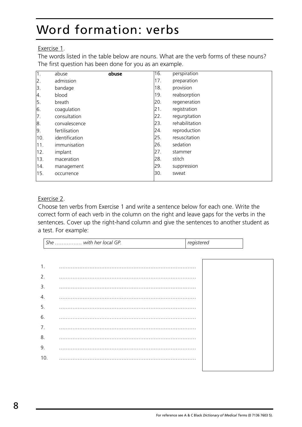# <span id="page-14-0"></span>Word formation: verbs

### Exercise 1.

The words listed in the table below are nouns. What are the verb forms of these nouns? The first question has been done for you as an example.

### Exercise 2.

Choose ten verbs from Exercise 1 and write a sentence below for each one. Write the correct form of each verb in the column on the right and leave gaps for the verbs in the sentences. Cover up the right-hand column and give the sentences to another student as a test. For example:

|     | She  with her local GP. | registered |
|-----|-------------------------|------------|
|     |                         |            |
| 1.  |                         |            |
| 2.  |                         |            |
| 3.  |                         |            |
| 4.  | .                       |            |
| 5.  | .                       |            |
| 6.  |                         |            |
| 7.  |                         |            |
| 8.  |                         |            |
| 9.  | .                       |            |
| 10. |                         |            |
|     |                         |            |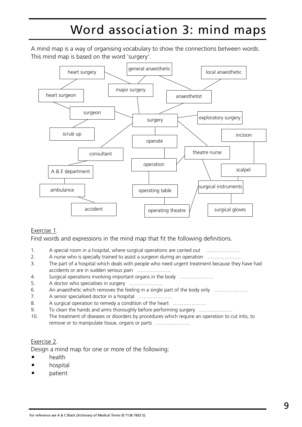# Word association 3: mind maps

<span id="page-15-0"></span>A mind map is a way of organising vocabulary to show the connections between words. This mind map is based on the word 'surgery'.



### Exercise 1.

Find words and expressions in the mind map that fit the following definitions.

- 1. A special room in a hospital, where surgical operations are carried out ………………..
- 2. A nurse who is specially trained to assist a surgeon during an operation ………………
- 3. The part of a hospital which deals with people who need urgent treatment because they have had accidents or are in sudden serious pain ………………..
- 4. Surgical operations involving important organs in the body ………………..
- 5. A doctor who specialises in surgery ....................
- 6. An anaesthetic which removes the feeling in a single part of the body only ………………..
- 7. A senior specialised doctor in a hospital ………………..
- 8. A surgical operation to remedy a condition of the heart ………….
- 9. To clean the hands and arms thoroughly before performing surgery ...................
- 10. The treatment of diseases or disorders by procedures which require an operation to cut into, to remove or to manipulate tissue, organs or parts …………………

### Exercise 2.

Design a mind map for one or more of the following:

- health
- hospital
- patient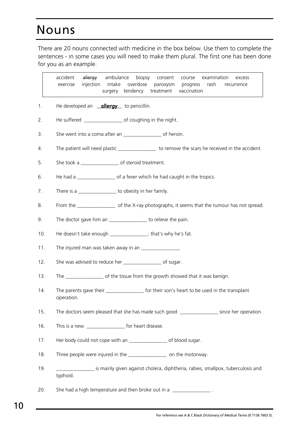# <span id="page-16-0"></span>Nouns

There are 20 nouns connected with medicine in the box below. Use them to complete the sentences - in some cases you will need to make them plural. The first one has been done for you as an example.

|     | <del>allergy</del><br>accident<br>ambulance biopsy consent<br>examination<br>course<br>excess<br>overdose<br>exercise<br>injection intake<br>paroxysm<br>rash<br>progress<br>recurrence<br>surgery tendency treatment vaccination |  |  |
|-----|-----------------------------------------------------------------------------------------------------------------------------------------------------------------------------------------------------------------------------------|--|--|
| 1.  | He developed an <b>_dlergy</b> to penicillin.                                                                                                                                                                                     |  |  |
| 2.  | He suffered __________________ of coughing in the night.                                                                                                                                                                          |  |  |
| 3.  | She went into a coma after an ___________________ of heroin.                                                                                                                                                                      |  |  |
| 4.  | The patient will need plastic ______________________ to remove the scars he received in the accident.                                                                                                                             |  |  |
| 5.  | She took a ____________________ of steroid treatment.                                                                                                                                                                             |  |  |
| 6.  | He had a _____________________ of a fever which he had caught in the tropics.                                                                                                                                                     |  |  |
| 7.  | There is a __________________ to obesity in her family.                                                                                                                                                                           |  |  |
| 8.  |                                                                                                                                                                                                                                   |  |  |
| 9.  | The doctor gave him an __________________ to relieve the pain.                                                                                                                                                                    |  |  |
| 10. | He doesn't take enough ________________: that's why he's fat.                                                                                                                                                                     |  |  |
| 11. | The injured man was taken away in an _______________.                                                                                                                                                                             |  |  |
| 12. | She was advised to reduce her ___________________ of sugar.                                                                                                                                                                       |  |  |
| 13. |                                                                                                                                                                                                                                   |  |  |
| 14. | The parents gave their _____________________ for their son's heart to be used in the transplant<br>operation.                                                                                                                     |  |  |
| 15. | The doctors seem pleased that she has made such good __________________ since her operation.                                                                                                                                      |  |  |
| 16. | This is a new _____________________ for heart disease.                                                                                                                                                                            |  |  |
| 17. | Her body could not cope with an __________________ of blood sugar.                                                                                                                                                                |  |  |
| 18. | Three people were injured in the ___________________ on the motorway.                                                                                                                                                             |  |  |
| 19. | is mainly given against cholera, diphtheria, rabies, smallpox, tuberculosis and<br>typhoid.                                                                                                                                       |  |  |
| 20. | She had a high temperature and then broke out in a _________________.                                                                                                                                                             |  |  |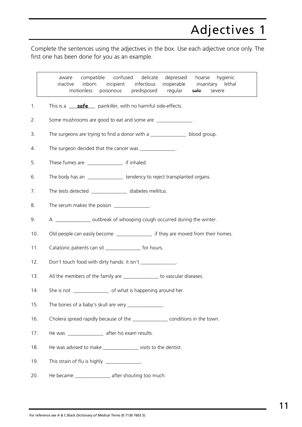# Adjectives 1

<span id="page-17-0"></span>Complete the sentences using the adjectives in the box. Use each adjective once only. The first one has been done for you as an example.

|     | depressed<br>compatible confused delicate<br>hoarse<br>hygienic<br>aware<br>inborn<br>incipient<br>infectious<br>inoperable insanitary<br>inactive<br>lethal<br>motionless poisonous predisposed<br>regular<br><del>safe</del><br>severe |  |  |
|-----|------------------------------------------------------------------------------------------------------------------------------------------------------------------------------------------------------------------------------------------|--|--|
| 1.  | This is a $\sqrt{\text{safe}}$ painkiller, with no harmful side-effects.                                                                                                                                                                 |  |  |
| 2.  | Some mushrooms are good to eat and some are ________________.                                                                                                                                                                            |  |  |
| 3.  | The surgeons are trying to find a donor with a ________________ blood group.                                                                                                                                                             |  |  |
| 4.  | The surgeon decided that the cancer was ___________________.                                                                                                                                                                             |  |  |
| 5.  | These fumes are ___________________ if inhaled.                                                                                                                                                                                          |  |  |
| 6.  | The body has an ________________ tendency to reject transplanted organs.                                                                                                                                                                 |  |  |
| 7.  | The tests detected _______________ diabetes mellitus.                                                                                                                                                                                    |  |  |
| 8.  | The serum makes the poison _______________.                                                                                                                                                                                              |  |  |
| 9.  | A ________________ outbreak of whooping cough occurred during the winter.                                                                                                                                                                |  |  |
| 10. | Old people can easily become _________________ if they are moved from their homes.                                                                                                                                                       |  |  |
| 11. | Catatonic patients can sit ___________________ for hours.                                                                                                                                                                                |  |  |
| 12. | Don't touch food with dirty hands: it isn't ______________.                                                                                                                                                                              |  |  |
| 13. | All the members of the family are ________________ to vascular diseases.                                                                                                                                                                 |  |  |
| 14. |                                                                                                                                                                                                                                          |  |  |
| 15. | The bones of a baby's skull are very ______________.                                                                                                                                                                                     |  |  |
| 16. | Cholera spread rapidly because of the __________________ conditions in the town.                                                                                                                                                         |  |  |
| 17. | He was ____________________ after his exam results.                                                                                                                                                                                      |  |  |
| 18. | He was advised to make _________________ visits to the dentist.                                                                                                                                                                          |  |  |
| 19. | This strain of flu is highly ________________.                                                                                                                                                                                           |  |  |
| 20. | He became ____________________ after shouting too much.                                                                                                                                                                                  |  |  |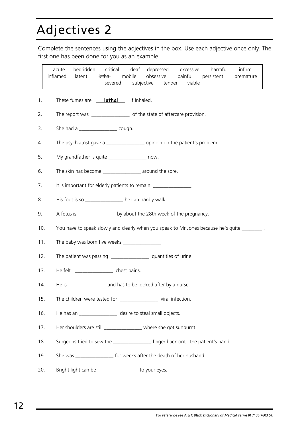# <span id="page-18-0"></span>Adjectives 2

Complete the sentences using the adjectives in the box. Use each adjective once only. The first one has been done for you as an example.

acute bedridden critical deaf depressed excessive harmful infirm inflamed latent <del>lethal</del> mobile obsessive painful persistent premature severed subjective tender viable 1. These fumes are **lethal** if inhaled. 2. The report was extended the state of aftercare provision. 3. She had a \_\_\_\_\_\_\_\_\_\_\_\_\_\_\_\_ cough. 4. The psychiatrist gave a \_\_\_\_\_\_\_\_\_\_\_\_\_\_\_ opinion on the patient's problem.

- 5. My grandfather is quite \_\_\_\_\_\_\_\_\_\_\_\_\_\_\_\_\_ now.
- 6. The skin has become \_\_\_\_\_\_\_\_\_\_\_\_\_\_\_ around the sore.
- 7. It is important for elderly patients to remain \_\_\_\_\_\_\_\_\_\_\_\_\_\_.
- 8. His foot is so \_\_\_\_\_\_\_\_\_\_\_\_\_\_\_\_ he can hardly walk.
- 9. A fetus is \_\_\_\_\_\_\_\_\_\_\_\_\_\_\_\_\_\_\_\_\_\_\_ by about the 28th week of the pregnancy.
- 10. You have to speak slowly and clearly when you speak to Mr Jones because he's quite \_\_\_\_\_\_\_\_.
- 11. The baby was born five weeks \_\_\_\_\_\_\_\_\_\_\_\_\_\_\_\_.
- 12. The patient was passing \_\_\_\_\_\_\_\_\_\_\_\_\_\_\_\_\_\_\_ quantities of urine.
- 13. He felt \_\_\_\_\_\_\_\_\_\_\_\_\_\_\_\_\_ chest pains.
- 14. He is \_\_\_\_\_\_\_\_\_\_\_\_\_\_\_\_\_\_ and has to be looked after by a nurse.
- 15. The children were tested for \_\_\_\_\_\_\_\_\_\_\_\_\_\_\_\_\_ viral infection.
- 16. He has an \_\_\_\_\_\_\_\_\_\_\_\_\_\_\_\_\_ desire to steal small objects.
- 17. Her shoulders are still \_\_\_\_\_\_\_\_\_\_\_\_\_\_\_\_\_\_ where she got sunburnt.
- 18. Surgeons tried to sew the \_\_\_\_\_\_\_\_\_\_\_\_\_\_\_\_ finger back onto the patient's hand.
- 19. She was **She was** for weeks after the death of her husband.
- 20. Bright light can be \_\_\_\_\_\_\_\_\_\_\_\_\_\_\_ to your eyes.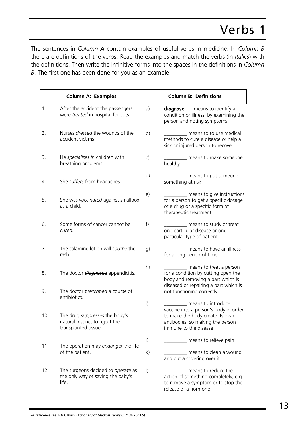<span id="page-19-0"></span>The sentences in *Column A* contain examples of useful verbs in medicine. In *Column B* there are definitions of the verbs. Read the examples and match the verbs (in *italics*) with the definitions. Then write the infinitive forms into the spaces in the definitions in *Column B*. The first one has been done for you as an example.

| <b>Column A: Examples</b> |                                                                                          | <b>Column B: Definitions</b> |                                                                                                                                                             |
|---------------------------|------------------------------------------------------------------------------------------|------------------------------|-------------------------------------------------------------------------------------------------------------------------------------------------------------|
| 1.                        | After the accident the passengers<br>were treated in hospital for cuts.                  | a)                           | diagnose means to identify a<br>condition or illness, by examining the<br>person and noting symptoms                                                        |
| 2.                        | Nurses dressed the wounds of the<br>accident victims.                                    | b)                           | means to to use medical<br>methods to cure a disease or help a<br>sick or injured person to recover                                                         |
| 3.                        | He specialises in children with<br>breathing problems.                                   | $\mathsf{C}$                 | means to make someone<br>healthy                                                                                                                            |
| 4.                        | She suffers from headaches.                                                              | $\mathsf{d}$                 | ___ means to put someone or<br>something at risk                                                                                                            |
| 5.                        | She was vaccinated against smallpox<br>as a child.                                       | e)                           | _____ means to give instructions<br>for a person to get a specific dosage<br>of a drug or a specific form of<br>therapeutic treatment                       |
| 6.                        | Some forms of cancer cannot be<br>cured.                                                 | f)                           | ______ means to study or treat<br>one particular disease or one<br>particular type of patient                                                               |
| 7.                        | The calamine lotion will soothe the<br>rash.                                             | g)                           | means to have an illness<br>for a long period of time                                                                                                       |
| 8.                        | The doctor <i>diagnosed</i> appendicitis.                                                | h)                           | _ means to treat a person<br>for a condition by cutting open the<br>body and removing a part which is<br>diseased or repairing a part which is              |
| 9.                        | The doctor prescribed a course of<br>antibiotics.                                        |                              | not functioning correctly                                                                                                                                   |
| 10.                       | The drug suppresses the body's<br>natural instinct to reject the<br>transplanted tissue. | i)                           | means to introduce<br>vaccine into a person's body in order<br>to make the body create its own<br>antibodies, so making the person<br>immune to the disease |
| 11.                       | The operation may endanger the life                                                      | j)                           | ________ means to relieve pain                                                                                                                              |
|                           | of the patient.                                                                          | $\mathsf{k}$                 | means to clean a wound<br>and put a covering over it                                                                                                        |
| 12.                       | The surgeons decided to operate as<br>the only way of saving the baby's<br>life.         | $\vert$                      | _ means to reduce the<br>action of something completely, e.g.<br>to remove a symptom or to stop the<br>release of a hormone                                 |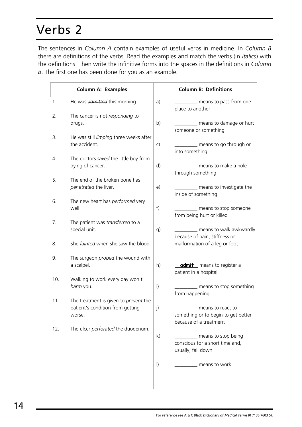# <span id="page-20-0"></span>Verbs 2

The sentences in *Column A* contain examples of useful verbs in medicine. In *Column B* there are definitions of the verbs. Read the examples and match the verbs (in *italics*) with the definitions. Then write the infinitive forms into the spaces in the definitions in *Column B*. The first one has been done for you as an example.

| <b>Column A: Examples</b> |                                                                                     | <b>Column B: Definitions</b> |                                                                                    |
|---------------------------|-------------------------------------------------------------------------------------|------------------------------|------------------------------------------------------------------------------------|
| 1 <sub>1</sub>            | He was admitted this morning.                                                       | a)                           | ______ means to pass from one<br>place to another                                  |
| 2.                        | The cancer is not responding to<br>drugs.                                           | b)                           | means to damage or hurt<br>someone or something                                    |
| 3.                        | He was still limping three weeks after<br>the accident.                             | $\mathsf{C}$                 | _ means to go through or<br>into something                                         |
| 4.                        | The doctors saved the little boy from<br>dying of cancer.                           | $\mathsf{d}$                 | means to make a hole<br>through something                                          |
| 5.                        | The end of the broken bone has<br>penetrated the liver.                             | e)                           | ____ means to investigate the<br>inside of something                               |
| 6.                        | The new heart has performed very<br>well.                                           | f)                           | means to stop someone<br>from being hurt or killed                                 |
| 7.                        | The patient was transferred to a<br>special unit.                                   | g)                           | __ means to walk awkwardly<br>because of pain, stiffness or                        |
| 8.                        | She fainted when she saw the blood.                                                 |                              | malformation of a leg or foot                                                      |
| 9.                        | The surgeon probed the wound with<br>a scalpel.                                     | h)                           | <b>admit</b> means to register a<br>patient in a hospital                          |
| 10.                       | Walking to work every day won't<br>harm you.                                        | i)                           | _ means to stop something<br>from happening                                        |
| 11.                       | The treatment is given to prevent the<br>patient's condition from getting<br>worse. | j)                           | means to react to<br>something or to begin to get better<br>because of a treatment |
| 12.                       | The ulcer perforated the duodenum.                                                  | k)                           | means to stop being<br>conscious for a short time and,<br>usually, fall down       |
|                           |                                                                                     | $\vert$                      | means to work                                                                      |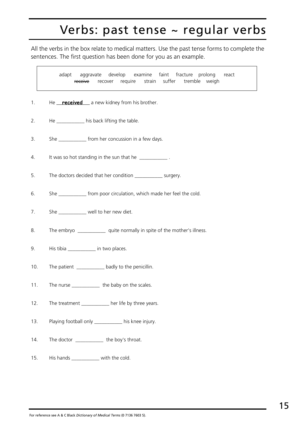# Verbs: past tense ~ regular verbs

<span id="page-21-0"></span>All the verbs in the box relate to medical matters. Use the past tense forms to complete the sentences. The first question has been done for you as an example.

> adapt aggravate develop examine faint fracture prolong react receive recover require strain suffer tremble weigh

- 1. He **received** a new kidney from his brother.
- 2. He his back lifting the table.
- 3. She \_\_\_\_\_\_\_\_\_\_\_ from her concussion in a few days.
- 4. It was so hot standing in the sun that he \_\_\_\_\_\_\_\_\_\_\_\_.
- 5. The doctors decided that her condition surgery.
- 6. She **She she steps in the steps of the cold** steps of the cold.
- 7. She \_\_\_\_\_\_\_\_\_\_ well to her new diet.
- 8. The embryo \_\_\_\_\_\_\_\_\_\_\_\_\_ quite normally in spite of the mother's illness.
- 9. His tibia **decertation** in two places.
- 10. The patient \_\_\_\_\_\_\_\_\_\_\_\_ badly to the penicillin.
- 11. The nurse \_\_\_\_\_\_\_\_\_\_\_\_ the baby on the scales.
- 12. The treatment \_\_\_\_\_\_\_\_\_\_\_ her life by three years.
- 13. Playing football only his knee injury.
- 14. The doctor the boy's throat.
- 15. His hands with the cold.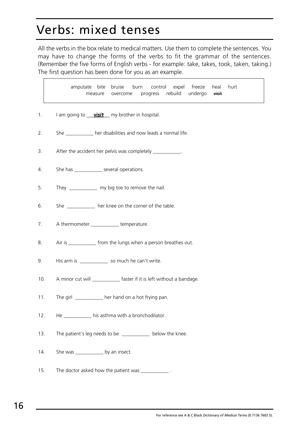# <span id="page-22-0"></span>Verbs: mixed tenses

All the verbs in the box relate to medical matters. Use them to complete the sentences. You may have to change the forms of the verbs to fit the grammar of the sentences. (Remember the five forms of English verbs - for example: take, takes, took, taken, taking.) The first question has been done for you as an example.

|     | burn control expel<br>freeze<br>amputate<br>bite bruise<br>heal<br>hurt<br>rebuild<br>undergo<br>wisit<br>progress<br>measure<br>overcome                               |
|-----|-------------------------------------------------------------------------------------------------------------------------------------------------------------------------|
| 1.  | I am going to $\frac{\text{visit}}{\text{visit}}$ my brother in hospital.                                                                                               |
| 2.  | She ____________ her disabilities and now leads a normal life.                                                                                                          |
| 3.  | After the accident her pelvis was completely ___________.                                                                                                               |
| 4.  | She has _______________ several operations.                                                                                                                             |
| 5.  | They ____________ my big toe to remove the nail.                                                                                                                        |
| 6.  | She ____________ her knee on the corner of the table.                                                                                                                   |
| 7.  | A thermometer ____________ temperature.                                                                                                                                 |
| 8.  | Air is ______________ from the lungs when a person breathes out.                                                                                                        |
| 9.  | His arm is _______________ so much he can't write.                                                                                                                      |
| 10. | A minor cut will <b>A</b> minor cut will <b>A</b> minor cut will <b>A</b> minor cut will <b>A</b> minor cut will <b>A</b> minor faster if it is left without a bandage. |
| 11. | The girl ____________ her hand on a hot frying pan.                                                                                                                     |
| 12. | He _____________ his asthma with a bronchodilator.                                                                                                                      |
| 13. | The patient's leg needs to be _____________ below the knee.                                                                                                             |
| 14. | She was _____________ by an insect.                                                                                                                                     |
| 15. | The doctor asked how the patient was ______________.                                                                                                                    |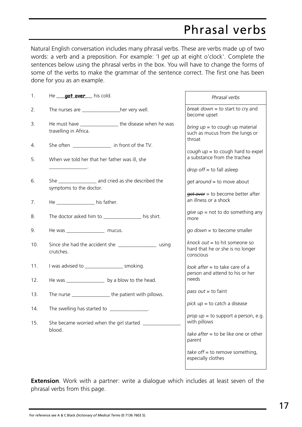# Phrasal verbs

<span id="page-23-0"></span>Natural English conversation includes many phrasal verbs. These are verbs made up of two words: a verb and a preposition. For example: 'I *get up* at eight o'clock'. Complete the sentences below using the phrasal verbs in the box. You will have to change the forms of some of the verbs to make the grammar of the sentence correct. The first one has been done for you as an example.

| 1.  | He <b>got over</b> his cold.                                                           | Phrasal verbs                                                                                    |
|-----|----------------------------------------------------------------------------------------|--------------------------------------------------------------------------------------------------|
| 2.  | The nurses are ______________her very well.                                            | break down = to start to cry and<br>become upset                                                 |
| 3.  | He must have ____________________ the disease when he was<br>travelling in Africa.     | <i>bring <math>up = to cough up material</math></i><br>such as mucus from the lungs or<br>throat |
| 4.  | She often __________________ in front of the TV.                                       | cough $up = to \cosh$ hard to expel                                                              |
| 5.  | When we told her that her father was ill, she                                          | a substance from the trachea                                                                     |
|     |                                                                                        | $drop$ off = to fall asleep                                                                      |
| 6.  | She ________________________ and cried as she described the<br>symptoms to the doctor. | $get$ around = to move about                                                                     |
| 7.  | He _________________ his father.                                                       | $get over = to become better after$<br>an illness or a shock                                     |
| 8.  | The doctor asked him to ________________ his shirt.                                    | give $up = not to do something any$<br>more                                                      |
| 9.  | He was ______________________ mucus.                                                   | $go down = to become smaller$                                                                    |
| 10. | Since she had the accident she _____________________ using<br>crutches.                | knock out = to hit someone so<br>hard that he or she is no longer<br>conscious                   |
| 11. | I was advised to _____________________ smoking.                                        | look after $=$ to take care of a<br>person and attend to his or her                              |
| 12. | He was ____________________ by a blow to the head.                                     | needs                                                                                            |
| 13. | The nurse ____________________ the patient with pillows.                               | pass out $=$ to faint                                                                            |
| 14. | The swelling has started to ________________.                                          | pick $up =$ to catch a disease                                                                   |
| 15. | She became worried when the girl started                                               | prop $up = to support a person, e.g.$<br>with pillows                                            |
|     | blood.                                                                                 | take after $=$ to be like one or other<br>parent                                                 |
|     |                                                                                        | take off = to remove something,<br>especially clothes                                            |

**Extension**. Work with a partner: write a dialogue which includes at least seven of the phrasal verbs from this page.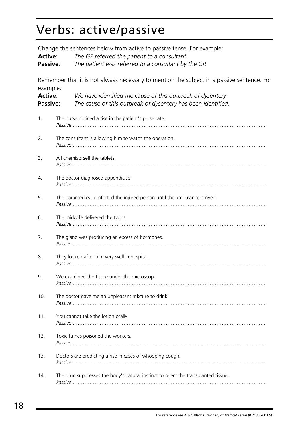# <span id="page-24-0"></span>Verbs: active/passive

|                |                                                                          | Change the sentences below from active to passive tense. For example:                      |  |  |
|----------------|--------------------------------------------------------------------------|--------------------------------------------------------------------------------------------|--|--|
| <b>Active:</b> |                                                                          | The GP referred the patient to a consultant.                                               |  |  |
| Passive:       |                                                                          | The patient was referred to a consultant by the GP.                                        |  |  |
| example:       |                                                                          | Remember that it is not always necessary to mention the subject in a passive sentence. For |  |  |
| Active:        |                                                                          | We have identified the cause of this outbreak of dysentery.                                |  |  |
|                | <b>Passive:</b>                                                          | The cause of this outbreak of dysentery has been identified.                               |  |  |
| 1.             |                                                                          | The nurse noticed a rise in the patient's pulse rate.                                      |  |  |
| 2.             |                                                                          | The consultant is allowing him to watch the operation.                                     |  |  |
| 3.             |                                                                          | All chemists sell the tablets.                                                             |  |  |
| 4.             |                                                                          | The doctor diagnosed appendicitis.                                                         |  |  |
| 5.             | The paramedics comforted the injured person until the ambulance arrived. |                                                                                            |  |  |
| 6.             | The midwife delivered the twins.                                         |                                                                                            |  |  |
| 7.             |                                                                          | The gland was producing an excess of hormones.                                             |  |  |
| 8.             |                                                                          | They looked after him very well in hospital.                                               |  |  |
| 9.             |                                                                          | We examined the tissue under the microscope.                                               |  |  |
| 10.            |                                                                          | The doctor gave me an unpleasant mixture to drink.                                         |  |  |
| 11.            |                                                                          | You cannot take the lotion orally.                                                         |  |  |
| 12.            |                                                                          | Toxic fumes poisoned the workers.                                                          |  |  |
| 13.            |                                                                          | Doctors are predicting a rise in cases of whooping cough.                                  |  |  |
| 14.            |                                                                          | The drug suppresses the body's natural instinct to reject the transplanted tissue.         |  |  |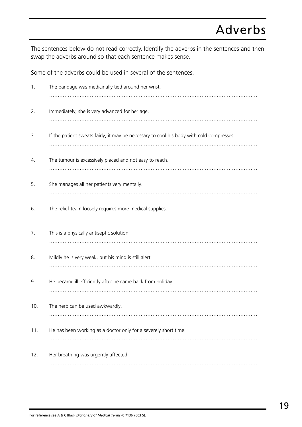# Adverbs

<span id="page-25-0"></span>The sentences below do not read correctly. Identify the adverbs in the sentences and then swap the adverbs around so that each sentence makes sense.

Some of the adverbs could be used in several of the sentences.

| 1.  | The bandage was medicinally tied around her wrist.                                       |
|-----|------------------------------------------------------------------------------------------|
| 2.  | Immediately, she is very advanced for her age.                                           |
| 3.  | If the patient sweats fairly, it may be necessary to cool his body with cold compresses. |
| 4.  | The tumour is excessively placed and not easy to reach.                                  |
| 5.  | She manages all her patients very mentally.                                              |
| 6.  | The relief team loosely requires more medical supplies.                                  |
| 7.  | This is a physically antiseptic solution.                                                |
| 8.  | Mildly he is very weak, but his mind is still alert.                                     |
| 9.  | He became ill efficiently after he came back from holiday.                               |
| 10. | The herb can be used awkwardly.                                                          |
| 11. | He has been working as a doctor only for a severely short time.                          |
| 12. | Her breathing was urgently affected.                                                     |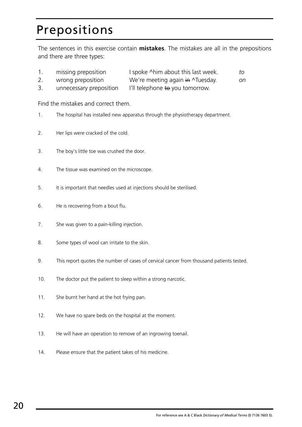# <span id="page-26-0"></span>Prepositions

The sentences in this exercise contain **mistakes**. The mistakes are all in the prepositions and there are three types:

| missing preposition | I spoke ^him about this last week. | to |
|---------------------|------------------------------------|----|
| wrong preposition   | We're meeting again in ^Tuesday.   | on |

3. unnecessary preposition I'll telephone to you tomorrow.

Find the mistakes and correct them.

- 1. The hospital has installed new apparatus through the physiotherapy department.
- 2. Her lips were cracked of the cold.
- 3. The boy's little toe was crushed the door.
- 4. The tissue was examined on the microscope.
- 5. It is important that needles used at injections should be sterilised.
- 6. He is recovering from a bout flu.
- 7. She was given to a pain-killing injection.
- 8. Some types of wool can irritate to the skin.
- 9. This report quotes the number of cases of cervical cancer from thousand patients tested.
- 10. The doctor put the patient to sleep within a strong narcotic.
- 11. She burnt her hand at the hot frying pan.
- 12. We have no spare beds on the hospital at the moment.
- 13. He will have an operation to remove of an ingrowing toenail.
- 14. Please ensure that the patient takes of his medicine.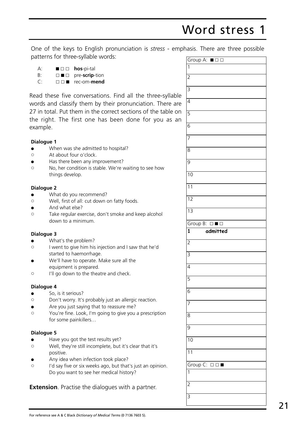# Word stress 1

<span id="page-27-0"></span>One of the keys to English pronunciation is *stress* - emphasis. There are three possible patterns for three-syllable words:

- $A^+$ ■**□hos-pi-tal**
- B: □■□ pre-scrip-tion
- C:  $\Box$   $\Box$  rec-om-**mend**

Read these five conversations. Find all the three-syllable words and classify them by their pronunciation. There are 27 in total. Put them in the correct sections of the table on the right. The first one has been done for you as an example.

### **Dialogue 1**

- When was she admitted to hospital?
- At about four o'clock.
- Has there been any improvement?
- No, her condition is stable. We're waiting to see how things develop.

### **Dialogue 2**

- What do you recommend?
- Well, first of all: cut down on fatty foods.
- And what else?
- Take regular exercise, don't smoke and keep alcohol down to a minimum.

### **Dialogue 3**

- What's the problem?
- I went to give him his injection and I saw that he'd started to haemorrhage.
- We'll have to operate. Make sure all the equipment is prepared.
- I'll go down to the theatre and check.

### **Dialogue 4**

- So, is it serious?
- Don't worry. It's probably just an allergic reaction.
- Are you just saying that to reassure me?
- You're fine. Look, I'm going to give you a prescription for some painkillers…

### **Dialogue 5**

- Have you got the test results yet?
- Well, they're still incomplete, but it's clear that it's positive.
- Any idea when infection took place?
- I'd say five or six weeks ago, but that's just an opinion. Do you want to see her medical history?

**Extension**. Practise the dialogues with a partner.

| Group A: ■□□                                           |
|--------------------------------------------------------|
| 1                                                      |
| $\overline{2}$                                         |
| $\overline{3}$                                         |
| $\overline{4}$                                         |
| $\overline{5}$                                         |
| $\overline{6}$                                         |
| $\overline{7}$                                         |
| 8                                                      |
| $\overline{9}$                                         |
| $\overline{10}$                                        |
| $\overline{11}$                                        |
| $\overline{12}$                                        |
| $\overline{13}$                                        |
| Group B: $\square \blacksquare \square$                |
| admitted<br>$\overline{\mathbf{1}}$                    |
|                                                        |
| $\overline{2}$                                         |
| $\overline{3}$                                         |
| $\overline{4}$                                         |
| $\overline{5}$                                         |
| $\overline{6}$                                         |
| $\overline{7}$                                         |
| $\overline{8}$                                         |
| $\overline{9}$                                         |
| $\overline{10}$                                        |
| $\overline{11}$                                        |
|                                                        |
| Group $\overline{C}$ : $\Box$ $\Box$<br>$\overline{1}$ |
| $\overline{2}$                                         |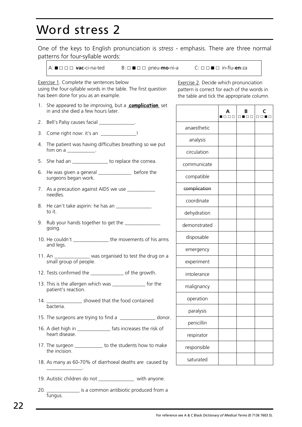# <span id="page-28-0"></span>Word stress 2

One of the keys to English pronunciation is *stress* - emphasis. There are three normal patterns for four-syllable words:

| $A: \blacksquare \square \square \square$ vac-ci-na-ted | $B: \Box \blacksquare \Box \Box$ pneu- <b>mo</b> -ni-a | $C: \Box \Box \blacksquare \Box$ in-flu-en-za |
|---------------------------------------------------------|--------------------------------------------------------|-----------------------------------------------|

Exercise 1. Complete the sentences below

using the four-syllable words in the table. The first question has been done for you as an example.

- 1. She appeared to be improving, but a **complication** set in and she died a few hours later.
- 2. Bell's Palsy causes facial
- 3. Come right now: it's an  $\blacksquare$
- 4. The patient was having difficulties breathing so we put him on a  $\qquad \qquad$ .
- 5. She had an \_\_\_\_\_\_\_\_\_\_\_\_\_\_ to replace the cornea.
- 6. He was given a general \_\_\_\_\_\_\_\_\_\_\_\_\_ before the surgeons began work.
- 7. As a precaution against AIDS we use needles.
- 8. He can't take aspirin: he has an \_\_\_\_\_\_\_\_\_\_\_\_\_\_ to it.
- 9. Rub your hands together to get the going.
- 10. He couldn't \_\_\_\_\_\_\_\_\_\_\_\_\_\_ the movements of his arms and legs.
- 11. An \_\_\_\_\_\_\_\_\_\_\_\_\_\_ was organised to test the drug on a small group of people.
- 12. Tests confirmed the \_\_\_\_\_\_\_\_\_\_\_\_\_ of the growth.
- 13. This is the allergen which was \_\_\_\_\_\_\_\_\_\_\_\_\_ for the patient's reaction.
- 14. \_\_\_\_\_\_\_\_\_\_\_\_\_\_ showed that the food contained bacteria.
- 15. The surgeons are trying to find a \_\_\_\_\_\_\_\_\_\_\_\_\_\_ donor.
- 16. A diet high in \_\_\_\_\_\_\_\_\_\_\_\_\_ fats increases the risk of heart disease.
- 17. The surgeon \_\_\_\_\_\_\_\_\_\_\_\_ to the students how to make the incision.
- 18. As many as 60-70% of diarrhoeal deaths are caused by \_\_\_\_\_\_\_\_\_\_\_\_\_\_.

19. Autistic children do not \_\_\_\_\_\_\_\_\_\_\_\_\_\_ with anyone.

20. \_\_\_\_\_\_\_\_\_\_\_\_\_ is a common antibiotic produced from a fungus.

Exercise 2. Decide which pronunciation pattern is correct for each of the words in the table and tick the appropriate column.

|              | Δ<br>חחר | B<br>n n n n | C<br>$\Box$ $\Box$ l |
|--------------|----------|--------------|----------------------|
| anaesthetic  |          |              |                      |
| analysis     |          |              |                      |
| circulation  |          |              |                      |
| communicate  |          |              |                      |
| compatible   |          |              |                      |
| complication |          |              |                      |
| coordinate   |          |              |                      |
| dehydration  |          |              |                      |
| demonstrated |          |              |                      |
| disposable   |          |              |                      |
| emergency    |          |              |                      |
| experiment   |          |              |                      |
| intolerance  |          |              |                      |
| malignancy   |          |              |                      |
| operation    |          |              |                      |
| paralysis    |          |              |                      |
| penicillin   |          |              |                      |
| respirator   |          |              |                      |
| responsible  |          |              |                      |
| saturated    |          |              |                      |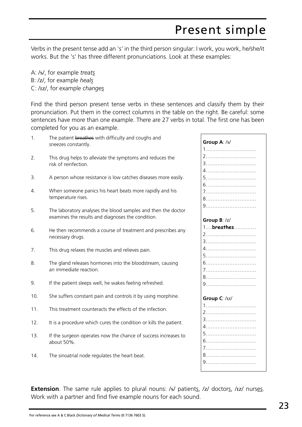# Present simple

<span id="page-29-0"></span>Verbs in the present tense add an 's' in the third person singular: I work, you work, he/she/it works. But the 's' has three different pronunciations. Look at these examples:

A: /s/, for example *treats* B: /z/, for example *heals* C: /z/, for example *changes*

Find the third person present tense verbs in these sentences and classify them by their pronunciation. Put them in the correct columns in the table on the right. Be careful: some sentences have more than one example. There are 27 verbs in total. The first one has been completed for you as an example.

| 1.  | The patient breathes with difficulty and coughs and<br>sneezes constantly.                                         | Group A: /s/  |
|-----|--------------------------------------------------------------------------------------------------------------------|---------------|
| 2.  | This drug helps to alleviate the symptoms and reduces the<br>risk of reinfection.                                  |               |
| 3.  | A person whose resistance is low catches diseases more easily.                                                     |               |
| 4.  | When someone panics his heart beats more rapidly and his<br>temperature rises.                                     |               |
| 5.  | The laboratory analyses the blood samples and then the doctor<br>examines the results and diagnoses the condition. | Group B: /z/  |
| 6.  | He then recommends a course of treatment and prescribes any<br>necessary drugs.                                    | $1$ breathes  |
| 7.  | This drug relaxes the muscles and relieves pain.                                                                   |               |
| 8.  | The gland releases hormones into the bloodstream, causing<br>an immediate reaction.                                |               |
| 9.  | If the patient sleeps well, he wakes feeling refreshed.                                                            |               |
| 10. | She suffers constant pain and controls it by using morphine.                                                       | Group C: /Iz/ |
| 11. | This treatment counteracts the effects of the infection.                                                           |               |
| 12. | It is a procedure which cures the condition or kills the patient.                                                  |               |
| 13. | If the surgeon operates now the chance of success increases to<br>about 50%.                                       |               |
| 14. | The sinoatrial node regulates the heart beat.                                                                      |               |

**Extension**. The same rule applies to plural nouns: /s/ patients, /z/ doctors, /iz/ nurses. Work with a partner and find five example nouns for each sound.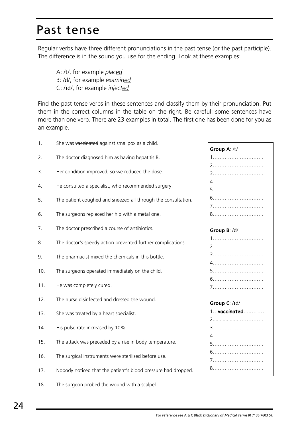# <span id="page-30-0"></span>Past tense

Regular verbs have three different pronunciations in the past tense (or the past participle). The difference is in the sound you use for the ending. Look at these examples:

A: /t/, for example *placed* B: /d/, for example *examined* C: /Id/, for example *injected* 

Find the past tense verbs in these sentences and classify them by their pronunciation. Put them in the correct columns in the table on the right. Be careful: some sentences have more than one verb. There are 23 examples in total. The first one has been done for you as an example.

| 1.  | She was vaccinated against smallpox as a child.               | Group A: /t/  |
|-----|---------------------------------------------------------------|---------------|
| 2.  | The doctor diagnosed him as having hepatitis B.               |               |
|     |                                                               |               |
| 3.  | Her condition improved, so we reduced the dose.               |               |
| 4.  | He consulted a specialist, who recommended surgery.           |               |
|     |                                                               |               |
| 5.  | The patient coughed and sneezed all through the consultation. |               |
|     |                                                               |               |
| 6.  | The surgeons replaced her hip with a metal one.               |               |
| 7.  | The doctor prescribed a course of antibiotics.                | Group B: /d/  |
|     | The doctor's speedy action prevented further complications.   |               |
| 8.  |                                                               |               |
| 9.  | The pharmacist mixed the chemicals in this bottle.            |               |
|     |                                                               |               |
| 10. | The surgeons operated immediately on the child.               |               |
|     |                                                               |               |
| 11. | He was completely cured.                                      |               |
| 12. | The nurse disinfected and dressed the wound.                  |               |
|     |                                                               | Group C: /Id/ |
| 13. | She was treated by a heart specialist.                        | 1vaccinated   |
|     |                                                               |               |
| 14. | His pulse rate increased by 10%.                              |               |
| 15. | The attack was preceded by a rise in body temperature.        |               |
|     |                                                               |               |
| 16. | The surgical instruments were sterilised before use.          |               |
|     |                                                               |               |
| 17. | Nobody noticed that the patient's blood pressure had dropped. |               |
| 18. | The surgeon probed the wound with a scalpel.                  |               |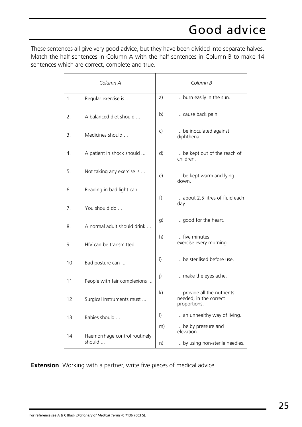# Good advice

<span id="page-31-0"></span>These sentences all give very good advice, but they have been divided into separate halves. Match the half-sentences in Column A with the half-sentences in Column B to make 14 sentences which are correct, complete and true.

|     | Column A                      |              | Column B                                                            |
|-----|-------------------------------|--------------|---------------------------------------------------------------------|
| 1.  | Regular exercise is           | a)           | burn easily in the sun.                                             |
| 2.  | A balanced diet should        | b)           | cause back pain.                                                    |
| 3.  | Medicines should              | $\mathsf{C}$ | be inoculated against<br>diphtheria.                                |
| 4.  | A patient in shock should     | d)           | be kept out of the reach of<br>children.                            |
| 5.  | Not taking any exercise is    | e)           | be kept warm and lying<br>down.                                     |
| 6.  | Reading in bad light can      | f)           | about 2.5 litres of fluid each                                      |
| 7.  | You should do                 |              | day.                                                                |
| 8.  | A normal adult should drink   | g)           | good for the heart.                                                 |
| 9.  | HIV can be transmitted        | h)           | five minutes'<br>exercise every morning.                            |
| 10. | Bad posture can               | i)           | be sterilised before use.                                           |
| 11. | People with fair complexions  | j)           | make the eyes ache.                                                 |
| 12. | Surgical instruments must     | k)           | provide all the nutrients<br>needed, in the correct<br>proportions. |
| 13. | Babies should                 | $\vert$      | an unhealthy way of living.                                         |
| 14. | Haemorrhage control routinely | m)           | be by pressure and<br>elevation.                                    |
|     | should                        | n)           | by using non-sterile needles.                                       |

**Extension**. Working with a partner, write five pieces of medical advice.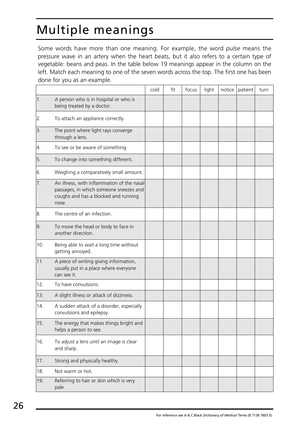# <span id="page-32-0"></span>Multiple meanings

Some words have more than one meaning. For example, the word *pulse* means the pressure wave in an artery when the heart beats, but it also refers to a certain type of vegetable: beans and peas. In the table below 19 meanings appear in the column on the left. Match each meaning to one of the seven words across the top. The first one has been done for you as an example.

|                  |                                                                                                                                       | cold | fit | focus | light | notice | patient | turn |
|------------------|---------------------------------------------------------------------------------------------------------------------------------------|------|-----|-------|-------|--------|---------|------|
| 1.               | A person who is in hospital or who is<br>being treated by a doctor.                                                                   |      |     |       |       |        |         |      |
| $\overline{2}$ . | To attach an appliance correctly.                                                                                                     |      |     |       |       |        |         |      |
| 3.               | The point where light rays converge<br>through a lens.                                                                                |      |     |       |       |        |         |      |
| 4.               | To see or be aware of something.                                                                                                      |      |     |       |       |        |         |      |
| 5.               | To change into something different.                                                                                                   |      |     |       |       |        |         |      |
| 6.               | Weighing a comparatively small amount.                                                                                                |      |     |       |       |        |         |      |
| 7.               | An illness, with inflammation of the nasal<br>passages, in which someone sneezes and<br>coughs and has a blocked and running<br>nose. |      |     |       |       |        |         |      |
| 8.               | The centre of an infection.                                                                                                           |      |     |       |       |        |         |      |
| 9.               | To move the head or body to face in<br>another direction.                                                                             |      |     |       |       |        |         |      |
| 10.              | Being able to wait a long time without<br>getting annoyed.                                                                            |      |     |       |       |        |         |      |
| 11.              | A piece of writing giving information,<br>usually put in a place where everyone<br>can see it.                                        |      |     |       |       |        |         |      |
| 12.              | To have convulsions.                                                                                                                  |      |     |       |       |        |         |      |
| 13.              | A slight illness or attack of dizziness.                                                                                              |      |     |       |       |        |         |      |
| 14.              | A sudden attack of a disorder, especially<br>convulsions and epilepsy.                                                                |      |     |       |       |        |         |      |
| 15.              | The energy that makes things bright and<br>helps a person to see.                                                                     |      |     |       |       |        |         |      |
| 16.              | To adjust a lens until an image is clear<br>and sharp.                                                                                |      |     |       |       |        |         |      |
| 17.              | Strong and physically healthy.                                                                                                        |      |     |       |       |        |         |      |
| 18.              | Not warm or hot.                                                                                                                      |      |     |       |       |        |         |      |
| 19.              | Referring to hair or skin which is very<br>pale.                                                                                      |      |     |       |       |        |         |      |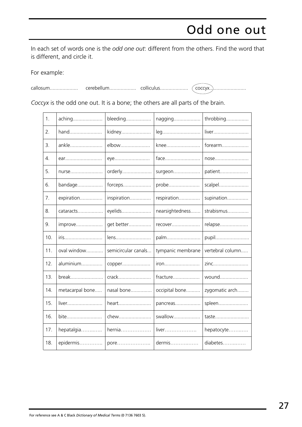# Odd one out

<span id="page-33-0"></span>In each set of words one is the *odd one out*: different from the others. Find the word that is different, and circle it.

For example:

callosum.................... cerebellum................... colliculus.................... coccyx..........................

*Coccyx* is the odd one out. It is a bone; the others are all parts of the brain.

| 1.                    | aching          | bleeding            | nagging           | throbbing        |
|-----------------------|-----------------|---------------------|-------------------|------------------|
| 2.                    | hand            | kidney              | leg               | liver            |
| 3.                    | ankle           | elbow               | knee              | forearm          |
| $\mathcal{A}_{\cdot}$ | ear             | eye                 | face              | nose             |
| 5.                    | nurse           | orderly             | surgeon           | patient          |
| 6.                    | bandage         | forceps             | probe             | scalpel          |
| 7.                    | expiration      | inspiration         | respiration       | supination       |
| 8.                    | cataracts       | eyelids             | nearsightedness   | strabismus       |
| 9.                    | improve         | get better          | recover           | relapse          |
| 10.                   | iris            | lens                | palm              | pupil            |
| 11.                   | oval window     | semicircular canals | tympanic membrane | vertebral column |
| 12.                   | aluminium       | copper              | iron              | zinc             |
| 13.                   | break           | crack               | fracture          | wound            |
| 14.                   | metacarpal bone | nasal bone          | occipital bone    | zygomatic arch   |
| 15.                   |                 | heart               | pancreas          | spleen           |
| 16.                   | bite            | chew                | swallow           | taste            |
| 17.                   | hepatalgia      | hernia              | liver             | hepatocyte       |
| 18.                   | epidermis       | pore                | dermis            | diabetes         |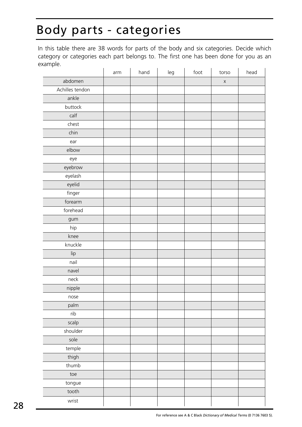# <span id="page-34-0"></span>Body parts - categories

In this table there are 38 words for parts of the body and six categories. Decide which category or categories each part belongs to. The first one has been done for you as an example.

|                 | arm | hand | leg | foot | torso       | head |
|-----------------|-----|------|-----|------|-------------|------|
| abdomen         |     |      |     |      | $\mathsf X$ |      |
| Achilles tendon |     |      |     |      |             |      |
| ankle           |     |      |     |      |             |      |
| buttock         |     |      |     |      |             |      |
| calf            |     |      |     |      |             |      |
| chest           |     |      |     |      |             |      |
| chin            |     |      |     |      |             |      |
| ear             |     |      |     |      |             |      |
| elbow           |     |      |     |      |             |      |
| eye             |     |      |     |      |             |      |
| eyebrow         |     |      |     |      |             |      |
| eyelash         |     |      |     |      |             |      |
| eyelid          |     |      |     |      |             |      |
| finger          |     |      |     |      |             |      |
| forearm         |     |      |     |      |             |      |
| forehead        |     |      |     |      |             |      |
| gum             |     |      |     |      |             |      |
| hip             |     |      |     |      |             |      |
| knee            |     |      |     |      |             |      |
| knuckle         |     |      |     |      |             |      |
| lip             |     |      |     |      |             |      |
| nail            |     |      |     |      |             |      |
| navel           |     |      |     |      |             |      |
| neck            |     |      |     |      |             |      |
| nipple          |     |      |     |      |             |      |
| nose            |     |      |     |      |             |      |
| palm            |     |      |     |      |             |      |
| rib             |     |      |     |      |             |      |
| scalp           |     |      |     |      |             |      |
| shoulder        |     |      |     |      |             |      |
| sole            |     |      |     |      |             |      |
| temple          |     |      |     |      |             |      |
| thigh           |     |      |     |      |             |      |
| thumb           |     |      |     |      |             |      |
| toe             |     |      |     |      |             |      |
| tongue          |     |      |     |      |             |      |
| tooth           |     |      |     |      |             |      |
| wrist           |     |      |     |      |             |      |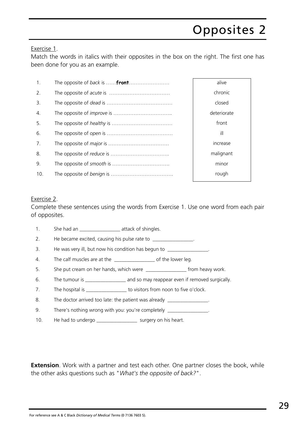# Opposites 2

<span id="page-35-0"></span>Exercise 1.

Match the words in italics with their opposites in the box on the right. The first one has been done for you as an example.

| 1 <sub>1</sub>        | The opposite of back is $\ldots$ front $\ldots$ $\ldots$ $\ldots$ | alive       |
|-----------------------|-------------------------------------------------------------------|-------------|
| 2.                    |                                                                   | chronic     |
| 3.                    |                                                                   | closed      |
| $\mathcal{A}_{\cdot}$ |                                                                   | deteriorate |
| 5.                    |                                                                   | front       |
| 6.                    |                                                                   | ill         |
| 7 <sub>1</sub>        |                                                                   | increase    |
| 8.                    |                                                                   | malignant   |
| 9.                    |                                                                   | minor       |
| 10.                   |                                                                   | rough       |

### Exercise 2.

Complete these sentences using the words from Exercise 1. Use one word from each pair of opposites.

- 1. She had an \_\_\_\_\_\_\_\_\_\_\_\_\_\_\_\_\_\_\_ attack of shingles.
- 2. He became excited, causing his pulse rate to \_\_\_\_\_\_\_\_\_\_\_\_\_\_\_.
- 3. He was very ill, but now his condition has begun to \_\_\_\_\_\_\_\_\_\_\_\_\_\_\_\_\_\_\_\_\_\_\_\_\_
- 4. The calf muscles are at the \_\_\_\_\_\_\_\_\_\_\_\_\_\_\_\_\_\_\_\_\_ of the lower leg.
- 5. She put cream on her hands, which were \_\_\_\_\_\_\_\_\_\_\_\_\_\_\_\_\_\_\_ from heavy work.
- 6. The tumour is \_\_\_\_\_\_\_\_\_\_\_\_\_\_\_\_ and so may reappear even if removed surgically.
- 7. The hospital is \_\_\_\_\_\_\_\_\_\_\_\_\_\_\_\_\_\_ to visitors from noon to five o'clock.
- 8. The doctor arrived too late: the patient was already \_\_\_\_\_\_\_\_\_\_\_\_\_\_\_\_.
- 9. There's nothing wrong with you: you're completely \_\_\_\_\_\_\_\_\_\_\_\_\_\_\_\_\_\_\_\_\_\_\_\_\_\_\_
- 10. He had to undergo \_\_\_\_\_\_\_\_\_\_\_\_\_\_\_\_\_\_\_\_ surgery on his heart.

**Extension**. Work with a partner and test each other. One partner closes the book, while the other asks questions such as "*What's the opposite of back?*".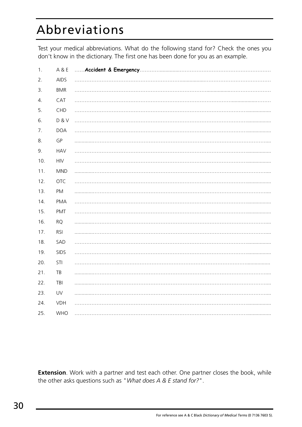# <span id="page-36-0"></span>Abbreviations

Test your medical abbreviations. What do the following stand for? Check the ones you don't know in the dictionary. The first one has been done for you as an example.

| 1.  | A & E          |  |
|-----|----------------|--|
| 2.  | <b>AIDS</b>    |  |
| 3.  | <b>BMR</b>     |  |
| 4.  | CAT            |  |
| 5.  | CHD            |  |
| 6.  | <b>D&amp;V</b> |  |
| 7.  | <b>DOA</b>     |  |
| 8.  | GP             |  |
| 9.  | <b>HAV</b>     |  |
| 10. | <b>HIV</b>     |  |
| 11. | <b>MND</b>     |  |
| 12. | <b>OTC</b>     |  |
| 13. | <b>PM</b>      |  |
| 14. | <b>PMA</b>     |  |
| 15. | PMT            |  |
| 16. | <b>RQ</b>      |  |
| 17. | <b>RSI</b>     |  |
| 18. | SAD            |  |
| 19. | SIDS           |  |
| 20. | STI            |  |
| 21. | TB             |  |
| 22. | TBI            |  |
| 23. | <b>UV</b>      |  |
| 24. | <b>VDH</b>     |  |
| 25. | <b>WHO</b>     |  |

**Extension**. Work with a partner and test each other. One partner closes the book, while the other asks questions such as "What does A & E stand for?".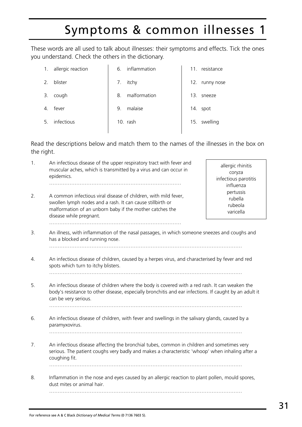# Symptoms & common illnesses 1

<span id="page-37-0"></span>These words are all used to talk about illnesses: their symptoms and effects. Tick the ones you understand. Check the others in the dictionary.

| 1.               | allergic reaction | 6. | inflammation |     | 11. resistance |
|------------------|-------------------|----|--------------|-----|----------------|
| 2.               | blister           | 7. | itchy        | 12. | runny nose     |
| 3.               | cough             | 8. | malformation |     | 13. sneeze     |
| $\overline{4}$ . | fever             | 9. | malaise      | 14. | spot           |
| 5.               | infectious        |    | 10. rash     | 15. | swelling       |
|                  |                   |    |              |     |                |

Read the descriptions below and match them to the names of the illnesses in the box on the right.

| 1.<br>2. | An infectious disease of the upper respiratory tract with fever and<br>muscular aches, which is transmitted by a virus and can occur in<br>epidemics.<br>A common infectious viral disease of children, with mild fever,<br>swollen lymph nodes and a rash. It can cause stillbirth or<br>malformation of an unborn baby if the mother catches the<br>disease while pregnant. | allergic rhinitis<br>coryza<br>infectious parotitis<br>influenza<br>pertussis<br>rubella<br>rubeola<br>varicella |  |  |  |  |  |  |
|----------|-------------------------------------------------------------------------------------------------------------------------------------------------------------------------------------------------------------------------------------------------------------------------------------------------------------------------------------------------------------------------------|------------------------------------------------------------------------------------------------------------------|--|--|--|--|--|--|
|          |                                                                                                                                                                                                                                                                                                                                                                               |                                                                                                                  |  |  |  |  |  |  |
| 3.       | An illness, with inflammation of the nasal passages, in which someone sneezes and coughs and<br>has a blocked and running nose.                                                                                                                                                                                                                                               |                                                                                                                  |  |  |  |  |  |  |
| 4.       | An infectious disease of children, caused by a herpes virus, and characterised by fever and red<br>spots which turn to itchy blisters.                                                                                                                                                                                                                                        |                                                                                                                  |  |  |  |  |  |  |
|          |                                                                                                                                                                                                                                                                                                                                                                               |                                                                                                                  |  |  |  |  |  |  |
| 5.       | An infectious disease of children where the body is covered with a red rash. It can weaken the<br>body's resistance to other disease, especially bronchitis and ear infections. If caught by an adult it<br>can be very serious.                                                                                                                                              |                                                                                                                  |  |  |  |  |  |  |
| 6.       | An infectious disease of children, with fever and swellings in the salivary glands, caused by a<br>paramyxovirus.                                                                                                                                                                                                                                                             |                                                                                                                  |  |  |  |  |  |  |
| 7.       | An infectious disease affecting the bronchial tubes, common in children and sometimes very<br>serious. The patient coughs very badly and makes a characteristic 'whoop' when inhaling after a<br>coughing fit.                                                                                                                                                                |                                                                                                                  |  |  |  |  |  |  |
|          |                                                                                                                                                                                                                                                                                                                                                                               |                                                                                                                  |  |  |  |  |  |  |
| 8.       | Inflammation in the nose and eyes caused by an allergic reaction to plant pollen, mould spores,<br>dust mites or animal hair.                                                                                                                                                                                                                                                 |                                                                                                                  |  |  |  |  |  |  |
|          |                                                                                                                                                                                                                                                                                                                                                                               |                                                                                                                  |  |  |  |  |  |  |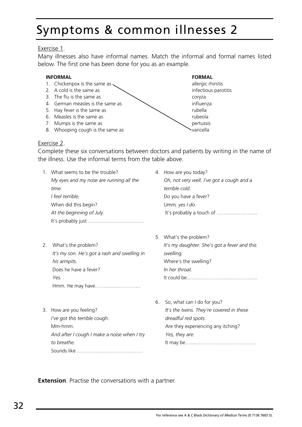# <span id="page-38-0"></span>Symptoms & common illnesses 2

### Exercise 1.

Many illnesses also have informal names. Match the informal and formal names listed below. The first one has been done for you as an example.

### **INFORMAL FORMAL**

- 1. Chickenpox is the same as service and the same as service in the same state of the same state of the same s
- 2. A cold is the same as  $\sum$
- 3. The flu is the same as  $\sim$
- 4. German measles is the same as **influenza**
- 5. Hav fever is the same as **rubella**
- 6. Measles is the same as rubeola
- 7. Mumps is the same as pertussis
- 8. Whooping cough is the same as  $\sim$  varicella

### Exercise 2.

Complete these six conversations between doctors and patients by writing in the name of the illness. Use the informal terms from the table above.

- 1. What seems to be the trouble? *My eyes and my nose are running all the time. I feel terrible.* When did this begin? *At the beginning of July.* It's probably just …………………………… 4. How are you today? *Oh, not very well. I've got a cough and a terrible cold.* Do you have a fever? *Umm, yes I do.* It's probably a touch of ……………………
- 2. What's the problem? *It's my son. He's got a rash and swelling in his armpits.* Does he have a fever? *Yes.* Hmm. He may have………………………
- 3. How are you feeling? *I've got this terrible cough.* Mm-hmm. *And after I cough I make a noise when I try to breathe.* Sounds like …………………………………
- 5. What's the problem? *It's my daughter. She's got a fever and this swelling.* Where's the swelling? *In her throat.* It could be……………………………………
- 6. So, what can I do for you? *It's the twins. They're covered in these dreadful red spots.* Are they experiencing any itching? *Yes, they are.* It may be……………………………………

**Extension**. Practise the conversations with a partner.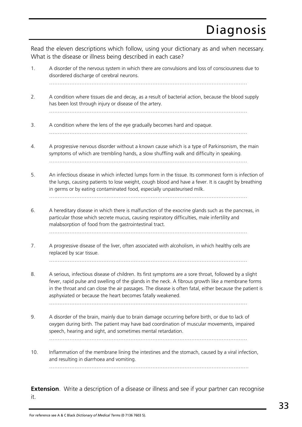# Diagnosis

<span id="page-39-0"></span>Read the eleven descriptions which follow, using your dictionary as and when necessary. What is the disease or illness being described in each case?

1. A disorder of the nervous system in which there are convulsions and loss of consciousness due to disordered discharge of cerebral neurons.

………………………………………………………………………………………………………

2. A condition where tissues die and decay, as a result of bacterial action, because the blood supply has been lost through injury or disease of the artery.

- 3. A condition where the lens of the eye gradually becomes hard and opaque.
- 4. A progressive nervous disorder without a known cause which is a type of Parkinsonism, the main symptoms of which are trembling hands, a slow shuffling walk and difficulty in speaking.
- 5. An infectious disease in which infected lumps form in the tissue. Its commonest form is infection of the lungs, causing patients to lose weight, cough blood and have a fever. It is caught by breathing in germs or by eating contaminated food, especially unpasteurised milk. ………………………………………………………………………………………………………
- 6. A hereditary disease in which there is malfunction of the exocrine glands such as the pancreas, in particular those which secrete mucus, causing respiratory difficulties, male infertility and malabsorption of food from the gastrointestinal tract.

………………………………………………………………………………………………………

7. A progressive disease of the liver, often associated with alcoholism, in which healthy cells are replaced by scar tissue.

8. A serious, infectious disease of children. Its first symptoms are a sore throat, followed by a slight fever, rapid pulse and swelling of the glands in the neck. A fibrous growth like a membrane forms in the throat and can close the air passages. The disease is often fatal, either because the patient is asphyxiated or because the heart becomes fatally weakened.

9. A disorder of the brain, mainly due to brain damage occurring before birth, or due to lack of oxygen during birth. The patient may have bad coordination of muscular movements, impaired speech, hearing and sight, and sometimes mental retardation.

………………………………………………………………………………………………………

10. Inflammation of the membrane lining the intestines and the stomach, caused by a viral infection, and resulting in diarrhoea and vomiting.

……………………………………………………………………………………………………….

**Extension**. Write a description of a disease or illness and see if your partner can recognise it.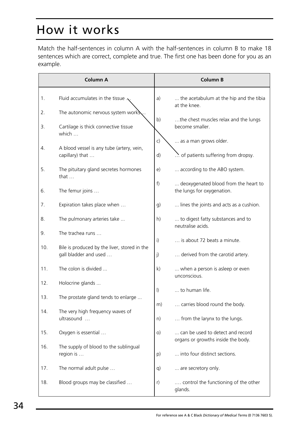# <span id="page-40-0"></span>How it works

Match the half-sentences in column A with the half-sentences in column B to make 18 sentences which are correct, complete and true. The first one has been done for you as an example.

| <b>Column A</b> |                                                                                     |                              | <b>Column B</b>                                                          |  |  |  |
|-----------------|-------------------------------------------------------------------------------------|------------------------------|--------------------------------------------------------------------------|--|--|--|
| 1.              | Fluid accumulates in the tissue $\sim$                                              | a)                           | the acetabulum at the hip and the tibia<br>at the knee.                  |  |  |  |
| 2.<br>3.        | The autonomic nervous system works<br>Cartilage is thick connective tissue<br>which | b)                           | the chest muscles relax and the lungs<br>become smaller.                 |  |  |  |
| 4.              | A blood vessel is any tube (artery, vein,<br>capillary) that                        | $\mathsf{C}$<br>$\mathsf{d}$ | as a man grows older.<br>$\therefore$ of patients suffering from dropsy. |  |  |  |
| 5.              | The pituitary gland secretes hormones<br>that $\dots$                               | e)                           | according to the ABO system.                                             |  |  |  |
| 6.              | The femur joins                                                                     | f)                           | deoxygenated blood from the heart to<br>the lungs for oxygenation.       |  |  |  |
| 7.              | Expiration takes place when                                                         | g)                           | lines the joints and acts as a cushion.                                  |  |  |  |
| 8.              | The pulmonary arteries take                                                         | h)                           | to digest fatty substances and to<br>neutralise acids.                   |  |  |  |
| 9.              | The trachea runs                                                                    | i)                           | is about 72 beats a minute.                                              |  |  |  |
| 10.             | Bile is produced by the liver, stored in the<br>gall bladder and used               | j)                           | derived from the carotid artery.                                         |  |  |  |
| 11.             | The colon is divided                                                                | $\mathsf{k}$                 | when a person is asleep or even<br>unconscious.                          |  |  |  |
| 12.<br>13.      | Holocrine glands<br>The prostate gland tends to enlarge                             | $\vert$                      | to human life.                                                           |  |  |  |
| 14.             | The very high frequency waves of                                                    | m)                           | carries blood round the body.                                            |  |  |  |
|                 | ultrasound                                                                          | n)                           | from the larynx to the lungs.                                            |  |  |  |
| 15.             | Oxygen is essential                                                                 | O                            | can be used to detect and record<br>organs or growths inside the body.   |  |  |  |
| 16.             | The supply of blood to the sublingual<br>region is                                  | p)                           | into four distinct sections.                                             |  |  |  |
| 17.             | The normal adult pulse                                                              | q)                           | are secretory only.                                                      |  |  |  |
| 18.             | Blood groups may be classified                                                      | r)                           | control the functioning of the other<br>glands.                          |  |  |  |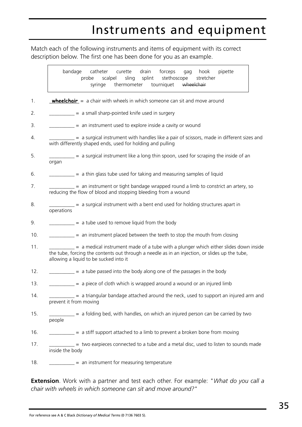# Instruments and equipment

<span id="page-41-0"></span>Match each of the following instruments and items of equipment with its correct description below. The first one has been done for you as an example.

bandage catheter curette drain forceps gag hook pipette probe scalpel sling splint stethoscope stretcher syringe thermometer tourniquet wheelchair 1. **wheelchair** = a chair with wheels in which someone can sit and move around 2.  $\frac{1}{2}$  = a small sharp-pointed knife used in surgery  $3.$   $=$  an instrument used to explore inside a cavity or wound 4. \_\_\_\_\_\_\_\_\_\_ = a surgical instrument with handles like a pair of scissors, made in different sizes and with differently shaped ends, used for holding and pulling 5. \_\_\_\_\_\_\_\_\_\_ = a surgical instrument like a long thin spoon, used for scraping the inside of an organ 6. \_\_\_\_\_\_\_\_\_\_ = a thin glass tube used for taking and measuring samples of liquid  $7.$   $=$  an instrument or tight bandage wrapped round a limb to constrict an artery, so reducing the flow of blood and stopping bleeding from a wound 8. \_\_\_\_\_\_\_\_\_ = a surgical instrument with a bent end used for holding structures apart in operations 9.  $\frac{1}{2}$  = a tube used to remove liquid from the body 10.  $\frac{1}{2}$  = an instrument placed between the teeth to stop the mouth from closing 11.  $\frac{1}{2}$  = a medical instrument made of a tube with a plunger which either slides down inside the tube, forcing the contents out through a needle as in an injection, or slides up the tube, allowing a liquid to be sucked into it 12.  $\frac{1}{2}$  = a tube passed into the body along one of the passages in the body 13. \_\_\_\_\_\_\_\_\_\_ = a piece of cloth which is wrapped around a wound or an injured limb 14.  $\frac{1}{2}$  = a triangular bandage attached around the neck, used to support an injured arm and prevent it from moving 15.  $\equiv$  a folding bed, with handles, on which an injured person can be carried by two people 16.  $\equiv$  a stiff support attached to a limb to prevent a broken bone from moving 17. \_\_\_\_\_\_\_\_\_\_ = two earpieces connected to a tube and a metal disc, used to listen to sounds made inside the body 18.  $=$  an instrument for measuring temperature

**Extension**. Work with a partner and test each other. For example: "*What do you call a chair with wheels in which someone can sit and move around?*"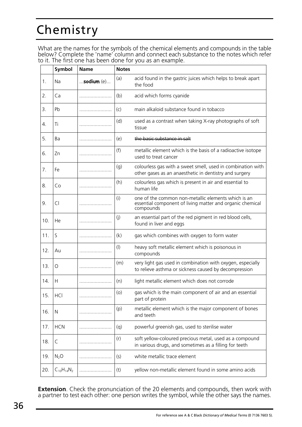# <span id="page-42-0"></span>Chemistry

What are the names for the symbols of the chemical elements and compounds in the table below? Complete the 'name' column and connect each substance to the notes which refer to it. The first one has been done for you as an example.

|     | Symbol            | <b>Name</b>     | <b>Notes</b> |                                                                                                                               |
|-----|-------------------|-----------------|--------------|-------------------------------------------------------------------------------------------------------------------------------|
| 1.  | Na                | $$ sodium $(e)$ | (a)          | acid found in the gastric juices which helps to break apart<br>the food                                                       |
| 2.  | Сa                |                 | (b)          | acid which forms cyanide                                                                                                      |
| 3.  | Pb                |                 | (c)          | main alkaloid substance found in tobacco                                                                                      |
| 4.  | Τi                |                 | (d)          | used as a contrast when taking X-ray photographs of soft<br>tissue                                                            |
| 5.  | Ba                | .               | (e)          | the basic substance in salt                                                                                                   |
| 6.  | Zn                |                 | (f)          | metallic element which is the basis of a radioactive isotope<br>used to treat cancer                                          |
| 7.  | Fe                |                 | (g)          | colourless gas with a sweet smell, used in combination with<br>other gases as an anaesthetic in dentistry and surgery         |
| 8.  | Co                |                 | (h)          | colourless gas which is present in air and essential to<br>human life                                                         |
| 9.  | CI                |                 | (i)          | one of the common non-metallic elements which is an<br>essential component of living matter and organic chemical<br>compounds |
| 10. | He                |                 | (i)          | an essential part of the red pigment in red blood cells,<br>found in liver and eggs                                           |
| 11. | S                 | .               | (k)          | gas which combines with oxygen to form water                                                                                  |
| 12. | Au                |                 | $($ l $)$    | heavy soft metallic element which is poisonous in<br>compounds                                                                |
| 13. | Ο                 |                 | (m)          | very light gas used in combination with oxygen, especially<br>to relieve asthma or sickness caused by decompression           |
| 14. | H                 | .               | (n)          | light metallic element which does not corrode                                                                                 |
| 15. | HCI               |                 | (0)          | gas which is the main component of air and an essential<br>part of protein                                                    |
| 16. | N                 |                 | (p)          | metallic element which is the major component of bones<br>and teeth                                                           |
| 17. | <b>HCN</b>        |                 | (q)          | powerful greenish gas, used to sterilise water                                                                                |
| 18. | C                 |                 | (r)          | soft yellow-coloured precious metal, used as a compound<br>in various drugs, and sometimes as a filling for teeth             |
| 19. | N <sub>2</sub> O  |                 | (s)          | white metallic trace element                                                                                                  |
| 20. | $C_{10}H_{14}N_2$ |                 | (t)          | yellow non-metallic element found in some amino acids                                                                         |

**Extension**. Check the pronunciation of the 20 elements and compounds, then work with a partner to test each other: one person writes the symbol, while the other says the names.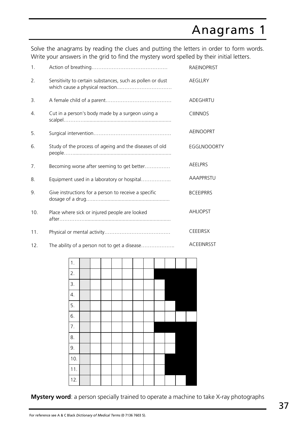# Anagrams 1

<span id="page-43-0"></span>Solve the anagrams by reading the clues and putting the letters in order to form words. Write your answers in the grid to find the mystery word spelled by their initial letters.

| 1.               |                                                           | <b>RAEINOPRIST</b> |
|------------------|-----------------------------------------------------------|--------------------|
| 2.               | Sensitivity to certain substances, such as pollen or dust | AEGLLRY            |
| 3.               |                                                           | ADEGHRTU           |
| $\overline{4}$ . | Cut in a person's body made by a surgeon using a          | <b>CIIINNOS</b>    |
| 5.               |                                                           | <b>AEINOOPRT</b>   |
| 6.               | Study of the process of ageing and the diseases of old    | <b>EGGLNOOORTY</b> |
| 7.               | Becoming worse after seeming to get better                | <b>AEELPRS</b>     |
| 8.               | Equipment used in a laboratory or hospital                | <b>AAAPPRSTU</b>   |
| 9.               | Give instructions for a person to receive a specific      | <b>BCEEIPRRS</b>   |
| 10.              | Place where sick or injured people are looked             | <b>AHLIOPST</b>    |
| 11.              |                                                           | <b>CEEEIRSX</b>    |
| 12.              | The ability of a person not to get a disease              | <b>ACEEINRSST</b>  |

| $\mathbf{1}$ .   |  |  |  |  |  |  |
|------------------|--|--|--|--|--|--|
| 2.               |  |  |  |  |  |  |
| $\overline{3}$ . |  |  |  |  |  |  |
| $\overline{4}$ . |  |  |  |  |  |  |
| $\overline{5}$ . |  |  |  |  |  |  |
| $\overline{6}$ . |  |  |  |  |  |  |
| $\overline{7}$ . |  |  |  |  |  |  |
| 8.               |  |  |  |  |  |  |
| 9.               |  |  |  |  |  |  |
| 10.              |  |  |  |  |  |  |
| 11.              |  |  |  |  |  |  |
| 12.              |  |  |  |  |  |  |

**Mystery word**: a person specially trained to operate a machine to take X-ray photographs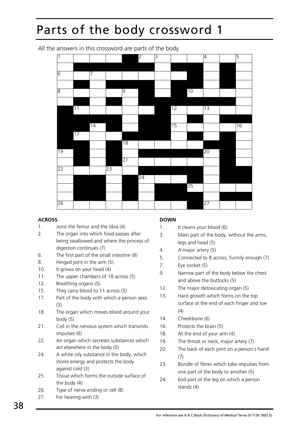# <span id="page-44-0"></span>Parts of the body crossword 1

| $\overline{\mathbb{1}}$ |                 |                 |    |                 | $\overline{2}$  | $\overline{\mathsf{3}}$ |    |    | $\overline{4}$  | $\overline{5}$ |
|-------------------------|-----------------|-----------------|----|-----------------|-----------------|-------------------------|----|----|-----------------|----------------|
|                         |                 |                 |    |                 |                 |                         |    |    |                 |                |
| $\overline{6}$          |                 | 7               |    |                 |                 |                         |    |    |                 |                |
|                         |                 |                 |    |                 |                 |                         |    |    |                 |                |
| $\overline{8}$          |                 |                 |    | $\overline{9}$  |                 |                         |    | 10 |                 |                |
|                         |                 |                 |    |                 |                 |                         |    |    |                 |                |
|                         | $\overline{11}$ |                 |    |                 |                 |                         | 12 |    | $ 13\rangle$    |                |
|                         |                 |                 |    |                 |                 |                         |    |    |                 |                |
|                         |                 | $\overline{14}$ |    |                 |                 |                         | 15 |    |                 | 16             |
|                         | 17              |                 |    |                 |                 |                         |    |    |                 |                |
|                         |                 |                 |    | 18              |                 |                         |    |    |                 |                |
| $\overline{19}$         |                 |                 |    |                 |                 |                         |    |    | 20              |                |
|                         |                 |                 |    | $\overline{21}$ |                 |                         |    |    |                 |                |
| $\overline{22}$         |                 |                 | 23 |                 |                 |                         |    |    |                 |                |
|                         |                 |                 |    |                 | $\overline{24}$ |                         |    |    |                 |                |
|                         |                 |                 |    |                 |                 |                         |    | 25 |                 |                |
|                         |                 |                 |    |                 |                 |                         |    |    |                 |                |
| $\overline{26}$         |                 |                 |    |                 |                 |                         |    |    | $\overline{27}$ |                |

All the answers in this crossword are parts of the body.

### **ACROSS**

- 1. Joins the femur and the tibia (4)
- 2. The organ into which food passes after being swallowed and where the process of digestion continues (7)
- 6. The first part of the small intestine (8)
- 8. Hinged joint in the arm (5)
- 10. It grows on your head (4)
- 11. The upper chambers of 18 across (5)
- 12. Breathing organs (5)
- 15. They carry blood to 11 across (5)
- 17. Part of the body with which a person sees (3)
- 18. The organ which moves blood around your body (5)
- 21. Cell in the nervous system which transmits impulses (6)
- 22. An organ which secretes substances which act elsewhere in the body (5)
- 24. A white oily substance in the body, which stores energy and protects the body against cold (3)
- 25. Tissue which forms the outside surface of the body (4)
- 26. Type of nerve ending or cell (8)
- 27. For hearing with (3)

### **DOWN**

- 1. It cleans your blood (6)
- 3. Main part of the body, without the arms, legs and head (5)
- 4. A major artery (5)
- 5. Connected to 8 across, funnily enough (7)
- 7. Eye socket (5)
- 9. Narrow part of the body below the chest and above the buttocks (5)
- 12. The major detoxicating organ (5)
- 13. Hard growth which forms on the top surface at the end of each finger and toe (4)
- 14. Cheekbone (6)
- 16. Protects the brain (5)
- 18. At the end of your arm (4)
- 19. The throat or neck, major artery (7)
- 20. The back of each joint on a person's hand (7)
- 23. Bundle of fibres which take impulses from one part of the body to another (5)
- 24. End part of the leg on which a person stands (4)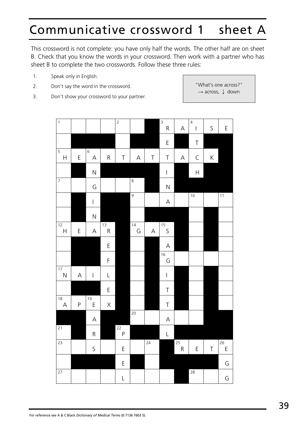# <span id="page-45-0"></span>Communicative crossword 1 sheet A

This crossword is not complete: you have only half the words. The other half are on sheet B. Check that you know the words in your crossword. Then work with a partner who has sheet B to complete the two crosswords. Follow these three rules:

- 1. Speak only in English.
- 2. Don't say the word in the crossword.

3. Don't show your crossword to your partner.

"What's one across?"

 $\rightarrow$  across,  $\downarrow$  down

| $\overline{1}$                              |             |                           |                 | $\overline{2}$                                                                                              |                         |                           | ${\sf R}$           | $\mathsf A$       | $\overline{4}$<br>$\, \vert \,$ | $\mathsf S$ | E             |
|---------------------------------------------|-------------|---------------------------|-----------------|-------------------------------------------------------------------------------------------------------------|-------------------------|---------------------------|---------------------|-------------------|---------------------------------|-------------|---------------|
|                                             |             |                           |                 |                                                                                                             |                         |                           | $\mathsf E$         |                   | $\sf T$                         |             |               |
| $\overline{5}$<br>$\boldsymbol{\mathsf{H}}$ | $\mathsf E$ | $\sqrt{6}$<br>$\mathsf A$ | ${\sf R}$       | $\top$                                                                                                      | A                       | $\top$                    | $\top$              | A                 | $\mathsf C$                     | $\sf K$     |               |
|                                             |             | ${\sf N}$                 |                 |                                                                                                             |                         |                           | $\bar{\mathbf{l}}$  |                   | $\boldsymbol{\mathsf{H}}$       |             |               |
| $\overline{7}$                              |             | G                         |                 |                                                                                                             | 8                       |                           | ${\sf N}$           |                   |                                 |             |               |
|                                             |             | $\boldsymbol{\mathsf{I}}$ |                 |                                                                                                             | $\mathsf 9$             |                           | $\mathsf A$         |                   | $10$                            |             | $\frac{1}{1}$ |
|                                             |             | ${\sf N}$                 |                 |                                                                                                             |                         |                           |                     |                   |                                 |             |               |
| $12\,$<br>$\boldsymbol{\mathsf{H}}$         | E           | $\mathsf A$               | 13<br>${\sf R}$ |                                                                                                             | $14\,$<br>${\mathsf G}$ | $\boldsymbol{\mathsf{A}}$ | $\frac{1}{15}$      |                   |                                 |             |               |
|                                             |             |                           | E               |                                                                                                             |                         |                           | $\mathsf A$         |                   |                                 |             |               |
|                                             |             |                           | F               |                                                                                                             |                         |                           | 16<br>${\mathsf G}$ |                   |                                 |             |               |
| 17 <sup>17</sup><br>${\sf N}$               | $\mathsf A$ | $\sf I$                   | L               |                                                                                                             |                         |                           | $\bar{\mathbf{l}}$  |                   |                                 |             |               |
|                                             |             |                           | E               |                                                                                                             |                         |                           | $\sf T$             |                   |                                 |             |               |
| $18\,$<br>$\boldsymbol{\mathsf{A}}$         | ${\sf P}$   | 19<br>E                   | $\mathsf X$     |                                                                                                             |                         |                           | $\sf T$             |                   |                                 |             |               |
|                                             |             | $\boldsymbol{\mathsf{A}}$ |                 |                                                                                                             | 20                      |                           | $\mathsf A$         |                   |                                 |             |               |
| 21                                          |             | ${\sf R}$                 |                 | $\overline{22}$<br>$\sf P$                                                                                  |                         |                           | $\mathsf L$         |                   |                                 |             |               |
| $\overline{23}$                             |             | $\mathsf S$               |                 | $\mathsf E$                                                                                                 |                         | 24                        |                     | 25<br>$\mathsf R$ | E                               | $\mathsf T$ | 26<br>E       |
|                                             |             |                           |                 | E                                                                                                           |                         |                           |                     |                   |                                 |             | G             |
| 27                                          |             |                           |                 | $\mathsf{L}% _{0}\left( \mathsf{L}_{1}\right) ^{\ast }=\mathsf{L}_{1}\left( \mathsf{L}_{1}\right) ^{\ast }$ |                         |                           |                     |                   | $\overline{28}$                 |             | G             |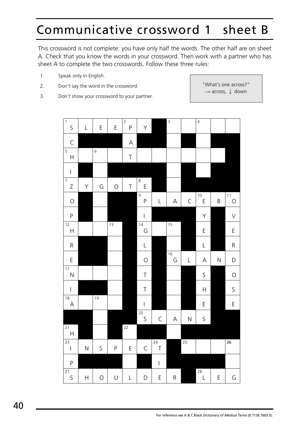# Communicative crossword 1 sheet B

This crossword is not complete: you have only half the words. The other half are on sheet A. Check that you know the words in your crossword. Then work with a partner who has sheet A to complete the two crosswords. Follow these three rules:

- 1. Speak only in English.
- 2. Don't say the word in the crossword.
- 3. Don't show your crossword to your partner.

"What's one across?"  $\rightarrow$  across,  $\downarrow$  down

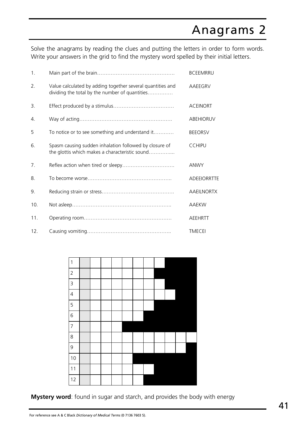# Anagrams 2

<span id="page-47-0"></span>Solve the anagrams by reading the clues and putting the letters in order to form words. Write your answers in the grid to find the mystery word spelled by their initial letters.

| 1.  |                                                                                                              | <b>BCEEMRRU</b>    |
|-----|--------------------------------------------------------------------------------------------------------------|--------------------|
| 2.  | Value calculated by adding together several quantities and<br>dividing the total by the number of quantities | AAEEGRV            |
| 3.  |                                                                                                              | <b>ACEINORT</b>    |
| 4.  |                                                                                                              | ABEHIORUV          |
| 5   | To notice or to see something and understand it                                                              | <b>BEEORSV</b>     |
| 6.  | Spasm causing sudden inhalation followed by closure of<br>the glottis which makes a characteristic sound     | <b>CCHIPU</b>      |
| 7.  |                                                                                                              | <b>ANWY</b>        |
| 8.  |                                                                                                              | <b>ADEEIORRTTE</b> |
| 9.  |                                                                                                              | <b>AAEILNORTX</b>  |
| 10. |                                                                                                              | <b>AAEKW</b>       |
| 11. |                                                                                                              | <b>AEEHRTT</b>     |
| 12. |                                                                                                              | <b>TMECEI</b>      |

1 2 3 4 5 6 7 8 9 10 11 12

**Mystery word**: found in sugar and starch, and provides the body with energy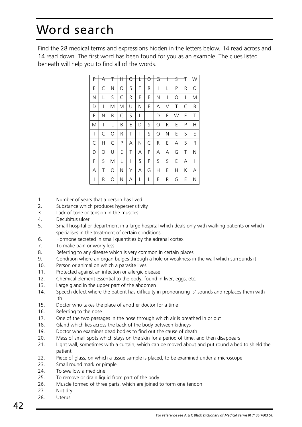# <span id="page-48-0"></span>Word search

Find the 28 medical terms and expressions hidden in the letters below; 14 read across and 14 read down. The first word has been found for you as an example. The clues listed beneath will help you to find all of the words.

| P | A | Ŧ | Η | θ | t | 0 | G |   | S | Ŧ | W |
|---|---|---|---|---|---|---|---|---|---|---|---|
| E | C | Ν | O | S | Τ | R | I | L | P | R | O |
| Ν | L | S | C | R | Е | Ε | N | I | O | I | Μ |
| D | I | M | M | U | Ν | Ε | Α | V | Τ | C | Β |
| E | N | Β | C | S | L | I | D | Ε | W | Ε | T |
| M | I | L | Β | Ε | D | S | O | R | E | Ρ | Η |
| I | C | O | R | Τ | I | S | Ο | N | Е | S | E |
| C | Η | C | Ρ | А | N | C | R | Ε | A | S | R |
| D | O | U | E | Τ | А | P | А | А | G | Τ | Ν |
| F | S | Μ | L | I | S | P | S | S | Ε | А | I |
| А | Τ | O | N | Υ | А | G | Н | Е | Н | Κ | А |
| I | R | 0 | N | А | L | L | Ε | R | G | E | Ν |

- 1. Number of years that a person has lived
- 2. Substance which produces hypersensitivity
- 3. Lack of tone or tension in the muscles
- 4. Decubitus ulcer
- 5. Small hospital or department in a large hospital which deals only with walking patients or which specialises in the treatment of certain conditions
- 6. Hormone secreted in small quantities by the adrenal cortex
- 7. To make pain or worry less
- 8. Referring to any disease which is very common in certain places
- 9. Condition where an organ bulges through a hole or weakness in the wall which surrounds it
- 10. Person or animal on which a parasite lives
- 11. Protected against an infection or allergic disease
- 12. Chemical element essential to the body, found in liver, eggs, etc.
- 13. Large gland in the upper part of the abdomen
- 14. Speech defect where the patient has difficulty in pronouncing 's' sounds and replaces them with 'th'
- 15. Doctor who takes the place of another doctor for a time
- 16. Referring to the nose
- 17. One of the two passages in the nose through which air is breathed in or out
- 18. Gland which lies across the back of the body between kidneys
- 19. Doctor who examines dead bodies to find out the cause of death
- 20. Mass of small spots which stays on the skin for a period of time, and then disappears
- 21. Light wall, sometimes with a curtain, which can be moved about and put round a bed to shield the patient
- 22. Piece of glass, on which a tissue sample is placed, to be examined under a microscope
- 23. Small round mark or pimple
- 24. To swallow a medicine
- 25. To remove or drain liquid from part of the body
- 26. Muscle formed of three parts, which are joined to form one tendon
- 27. Not dry
- 28. Uterus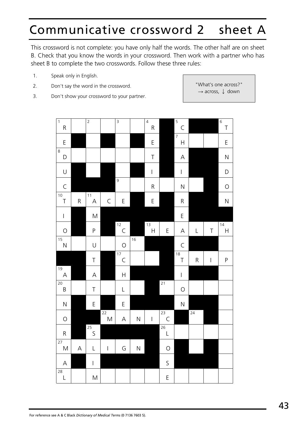# <span id="page-49-0"></span>Communicative crossword 2 sheet A

This crossword is not complete: you have only half the words. The other half are on sheet B. Check that you know the words in your crossword. Then work with a partner who has sheet B to complete the two crosswords. Follow these three rules:

- 1. Speak only in English.
- 2. Don't say the word in the crossword.
- 3. Don't show your crossword to your partner.

"What's one across?"

 $\rightarrow$  across,  $\downarrow$  down

| $\mathbbm{1}$<br>${\sf R}$ |           | $\mathsf{2}$                                                                                               |                                                                                                                                                                                                                                                                                                                                                                                  | 3                              |              | $\overline{4}$<br>${\sf R}$                                                                                                                                                                                                                                                                                                                                                                                    |                   | $\sqrt{5}$<br>$\mathsf C$      |           |                           | $\,$ 6 $\,$<br>$\top$ |
|----------------------------|-----------|------------------------------------------------------------------------------------------------------------|----------------------------------------------------------------------------------------------------------------------------------------------------------------------------------------------------------------------------------------------------------------------------------------------------------------------------------------------------------------------------------|--------------------------------|--------------|----------------------------------------------------------------------------------------------------------------------------------------------------------------------------------------------------------------------------------------------------------------------------------------------------------------------------------------------------------------------------------------------------------------|-------------------|--------------------------------|-----------|---------------------------|-----------------------|
| E                          |           |                                                                                                            |                                                                                                                                                                                                                                                                                                                                                                                  |                                |              | E                                                                                                                                                                                                                                                                                                                                                                                                              |                   | $\overline{7}$<br>Н            |           |                           | E                     |
| $\,8\,$<br>$\mathsf D$     |           |                                                                                                            |                                                                                                                                                                                                                                                                                                                                                                                  |                                |              | $\top$                                                                                                                                                                                                                                                                                                                                                                                                         |                   | $\mathsf A$                    |           |                           | $\hbox{N}$            |
| $\cup$                     |           |                                                                                                            |                                                                                                                                                                                                                                                                                                                                                                                  |                                |              | $\begin{array}{c} \rule{0pt}{2ex} \rule{0pt}{2ex} \rule{0pt}{2ex} \rule{0pt}{2ex} \rule{0pt}{2ex} \rule{0pt}{2ex} \rule{0pt}{2ex} \rule{0pt}{2ex} \rule{0pt}{2ex} \rule{0pt}{2ex} \rule{0pt}{2ex} \rule{0pt}{2ex} \rule{0pt}{2ex} \rule{0pt}{2ex} \rule{0pt}{2ex} \rule{0pt}{2ex} \rule{0pt}{2ex} \rule{0pt}{2ex} \rule{0pt}{2ex} \rule{0pt}{2ex} \rule{0pt}{2ex} \rule{0pt}{2ex} \rule{0pt}{2ex} \rule{0pt}{$ |                   | $\mathsf I$                    |           |                           | D                     |
| $\mathsf C$                |           |                                                                                                            |                                                                                                                                                                                                                                                                                                                                                                                  | 9                              |              | ${\sf R}$                                                                                                                                                                                                                                                                                                                                                                                                      |                   | $\mathsf{N}$                   |           |                           | $\bigcirc$            |
| 10 <sub>1</sub><br>$\top$  | ${\sf R}$ | 11<br>A                                                                                                    | $\mathsf C$                                                                                                                                                                                                                                                                                                                                                                      | $\mathsf E$                    |              | E                                                                                                                                                                                                                                                                                                                                                                                                              |                   | ${\sf R}$                      |           |                           | $\hbox{N}$            |
| $\boldsymbol{\mathsf{I}}$  |           | M                                                                                                          |                                                                                                                                                                                                                                                                                                                                                                                  |                                |              |                                                                                                                                                                                                                                                                                                                                                                                                                |                   | E                              |           |                           |                       |
| $\bigcirc$                 |           | P                                                                                                          |                                                                                                                                                                                                                                                                                                                                                                                  | $\overline{12}$<br>$\subset$   |              | 13<br>$\boldsymbol{\mathsf{H}}$                                                                                                                                                                                                                                                                                                                                                                                | E                 | A                              | L         | $\top$                    | 14<br>Н               |
| 15<br>${\sf N}$            |           | $\cup$                                                                                                     |                                                                                                                                                                                                                                                                                                                                                                                  | $\bigcirc$                     | 16           |                                                                                                                                                                                                                                                                                                                                                                                                                |                   | $\mathsf C$                    |           |                           |                       |
|                            |           | $\top$                                                                                                     |                                                                                                                                                                                                                                                                                                                                                                                  | 17 <sup>7</sup><br>$\mathsf C$ |              |                                                                                                                                                                                                                                                                                                                                                                                                                |                   | 18<br>$\top$                   | ${\sf R}$ | $\boldsymbol{\mathsf{I}}$ | $\sf P$               |
| $19$<br>$\mathsf A$        |           | $\mathsf A$                                                                                                |                                                                                                                                                                                                                                                                                                                                                                                  | Н                              |              |                                                                                                                                                                                                                                                                                                                                                                                                                |                   | $\begin{array}{c} \end{array}$ |           |                           |                       |
| 20<br>$\sf B$              |           | $\top$                                                                                                     |                                                                                                                                                                                                                                                                                                                                                                                  | L                              |              |                                                                                                                                                                                                                                                                                                                                                                                                                | 21                | $\bigcirc$                     |           |                           |                       |
| $\mathsf{N}$               |           | E                                                                                                          |                                                                                                                                                                                                                                                                                                                                                                                  | E                              |              |                                                                                                                                                                                                                                                                                                                                                                                                                |                   | $\mathsf{N}$                   |           |                           |                       |
| $\bigcirc$                 |           |                                                                                                            | 22<br>$\mathsf{M}% _{T}=\mathsf{M}_{T}\!\left( a,b\right) ,\ \mathsf{M}_{T}=\mathsf{M}_{T}\!\left( a,b\right) ,$                                                                                                                                                                                                                                                                 | $\mathsf A$                    | $\mathsf{N}$ | $\overline{\phantom{a}}$                                                                                                                                                                                                                                                                                                                                                                                       | 23<br>$\mathsf C$ |                                | 24        |                           |                       |
| $\mathsf R$                |           | $\overline{25}$<br>$\mathsf S$                                                                             |                                                                                                                                                                                                                                                                                                                                                                                  |                                |              |                                                                                                                                                                                                                                                                                                                                                                                                                | 26<br>$\mathsf L$ |                                |           |                           |                       |
| 27<br>M                    | A         | $\mathsf{L}% _{0}\left( \mathsf{L}_{1}\right)$                                                             | $\begin{array}{c} \rule{0pt}{2.5ex} \rule{0pt}{2.5ex} \rule{0pt}{2.5ex} \rule{0pt}{2.5ex} \rule{0pt}{2.5ex} \rule{0pt}{2.5ex} \rule{0pt}{2.5ex} \rule{0pt}{2.5ex} \rule{0pt}{2.5ex} \rule{0pt}{2.5ex} \rule{0pt}{2.5ex} \rule{0pt}{2.5ex} \rule{0pt}{2.5ex} \rule{0pt}{2.5ex} \rule{0pt}{2.5ex} \rule{0pt}{2.5ex} \rule{0pt}{2.5ex} \rule{0pt}{2.5ex} \rule{0pt}{2.5ex} \rule{0$ | G                              | $\mathsf{N}$ |                                                                                                                                                                                                                                                                                                                                                                                                                | $\bigcirc$        |                                |           |                           |                       |
| $\boldsymbol{\mathsf{A}}$  |           | $\mathsf{I}$                                                                                               |                                                                                                                                                                                                                                                                                                                                                                                  |                                |              |                                                                                                                                                                                                                                                                                                                                                                                                                | $\mathsf S$       |                                |           |                           |                       |
| 28<br>L                    |           | $\mathsf{M}% _{T}=\mathsf{M}_{T}\!\left( a,b\right) ,\ \mathsf{M}_{T}=\mathsf{M}_{T}\!\left( a,b\right) ,$ |                                                                                                                                                                                                                                                                                                                                                                                  |                                |              |                                                                                                                                                                                                                                                                                                                                                                                                                | E                 |                                |           |                           |                       |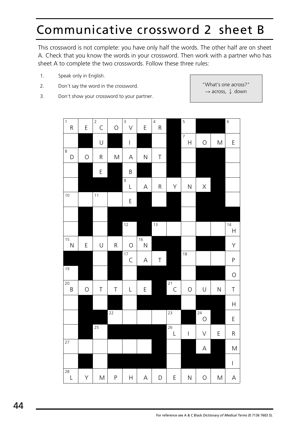# Communicative crossword 2 sheet B

This crossword is not complete: you have only half the words. The other half are on sheet A. Check that you know the words in your crossword. Then work with a partner who has sheet A to complete the two crosswords. Follow these three rules:

- 1. Speak only in English.
- 2. Don't say the word in the crossword.
- 3. Don't show your crossword to your partner.

"What's one across?"

 $\rightarrow$  across,  $\downarrow$  down

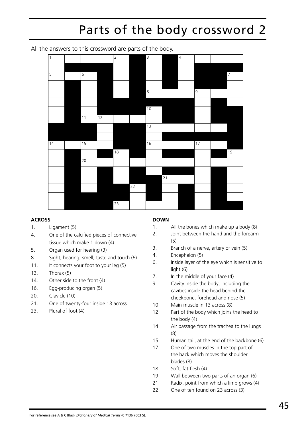# Parts of the body crossword 2

| $\mathbf{1}$   |                 |    | $\overline{2}$ |                 | $\overline{\mathbf{3}}$ |                 | $\overline{4}$ |                |                |
|----------------|-----------------|----|----------------|-----------------|-------------------------|-----------------|----------------|----------------|----------------|
|                |                 |    |                |                 |                         |                 |                |                |                |
| $\overline{5}$ | $\boxed{6}$     |    |                |                 |                         |                 |                |                | $\overline{7}$ |
|                |                 |    |                |                 |                         |                 |                |                |                |
|                |                 |    |                |                 | $\infty$                |                 |                | $\overline{9}$ |                |
|                |                 |    |                |                 |                         |                 |                |                |                |
|                |                 |    |                |                 | $10$                    |                 |                |                |                |
|                | $\overline{11}$ | 12 |                |                 |                         |                 |                |                |                |
|                |                 |    |                |                 | 13                      |                 |                |                |                |
|                |                 |    |                |                 |                         |                 |                |                |                |
| 14             | 15              |    |                |                 | 16                      |                 |                | 17             |                |
|                |                 |    | 18             |                 |                         |                 |                |                | 19             |
|                | $\overline{20}$ |    |                |                 |                         |                 |                |                |                |
|                |                 |    |                |                 |                         |                 |                |                |                |
|                |                 |    |                |                 |                         | $\overline{21}$ |                |                |                |
|                |                 |    |                | $\overline{22}$ |                         |                 |                |                |                |
|                |                 |    |                |                 |                         |                 |                |                |                |
|                |                 |    | 23             |                 |                         |                 |                |                |                |

<span id="page-51-0"></span>All the answers to this crossword are parts of the body.

### **ACROSS**

- 1. Ligament (5)
- 4. One of the calcified pieces of connective tissue which make 1 down (4)
- 5. Organ used for hearing (3)
- 8. Sight, hearing, smell, taste and touch (6)
- 11. It connects your foot to your leg (5)
- 13. Thorax (5)
- 14. Other side to the front (4)
- 16. Egg-producing organ (5)
- 20. Clavicle (10)
- 21. One of twenty-four inside 13 across
- 23. Plural of foot (4)

### **DOWN**

- 1. All the bones which make up a body (8)
- 2. Joint between the hand and the forearm (5)
- 3. Branch of a nerve, artery or vein (5)
- 4. Encephalon (5)
- 6. Inside layer of the eye which is sensitive to light (6)
- 7. In the middle of your face (4)
- 9. Cavity inside the body, including the cavities inside the head behind the cheekbone, forehead and nose (5)
- 10. Main muscle in 13 across (8)
- 12. Part of the body which joins the head to the body (4)
- 14. Air passage from the trachea to the lungs (8)
- 15. Human tail, at the end of the backbone (6)
- 17. One of two muscles in the top part of the back which moves the shoulder blades (8)
- 18. Soft, fat flesh (4)
- 19. Wall between two parts of an organ (6)
- 21. Radix, point from which a limb grows (4)
- 22. One of ten found on 23 across (3)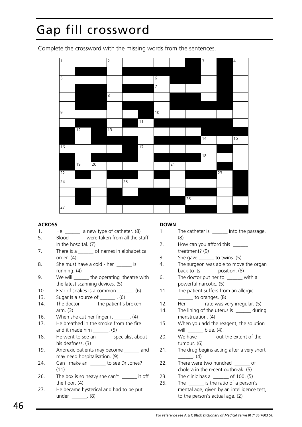# <span id="page-52-0"></span>Gap fill crossword

Complete the crossword with the missing words from the sentences.

| $\overline{1}$  |    |    | $\overline{2}$ |    |                 |                |    |    | $\overline{3}$ |                 | $\overline{4}$ |
|-----------------|----|----|----------------|----|-----------------|----------------|----|----|----------------|-----------------|----------------|
|                 |    |    |                |    |                 |                |    |    |                |                 |                |
| $\overline{5}$  |    |    |                |    |                 | $\overline{6}$ |    |    |                |                 |                |
|                 |    |    |                |    |                 | $\overline{7}$ |    |    |                |                 |                |
|                 |    |    | $\overline{8}$ |    |                 |                |    |    |                |                 |                |
|                 |    |    |                |    |                 |                |    |    |                |                 |                |
| $\overline{9}$  |    |    |                |    |                 | 10             |    |    |                |                 |                |
|                 |    |    |                |    | 11              |                |    |    |                |                 |                |
|                 | 12 |    | 13             |    |                 |                |    |    |                |                 |                |
|                 |    |    |                |    |                 |                |    |    | 14             |                 | 15             |
| 16              |    |    |                |    | $\overline{17}$ |                |    |    |                |                 |                |
|                 |    |    |                |    |                 |                |    |    | 18             |                 |                |
|                 | 19 | 20 |                |    |                 |                | 21 |    |                |                 |                |
|                 |    |    |                |    |                 |                |    |    |                |                 |                |
|                 |    |    |                |    |                 |                |    |    |                | $\overline{23}$ |                |
| $\overline{24}$ |    |    |                | 25 |                 |                |    |    |                |                 |                |
|                 |    |    |                |    |                 |                |    |    |                |                 |                |
| $\overline{22}$ |    |    |                |    |                 |                |    | 26 |                |                 |                |
| 27              |    |    |                |    |                 |                |    |    |                |                 |                |

#### **ACROSS**

- 1. He  $\frac{1}{\sqrt{2}}$  a new type of catheter. (8)
- 5. Blood \_\_\_\_\_\_ were taken from all the staff in the hospital. (7)
- 7. There is a same of names in alphabetical order. (4)
- 8. She must have a cold her \_\_\_\_\_\_\_ is running. (4)
- 9. We will the operating theatre with the latest scanning devices. (5)
- 10. Fear of snakes is a common \_\_\_\_\_\_. (6)
- 13. Sugar is a source of (6)
- 14. The doctor \_\_\_\_\_\_ the patient's broken arm. (3)
- 16. When she cut her finger it \_\_\_\_\_\_. (4)
- 17. He breathed in the smoke from the fire and it made him \_\_\_\_\_\_. (5)
- 18. He went to see an specialist about his deafness. (3)
- 19. Anorexic patients may become \_\_\_\_\_\_ and may need hospitalisation. (9)
- 24. Can I make an \_\_\_\_\_\_ to see Dr Jones? (11)
- 26. The box is so heavy she can't it off the floor. (4)
- 27. He became hysterical and had to be put under \_\_\_\_\_\_. (8)

### **DOWN**

- 1 The catheter is \_\_\_\_\_\_\_ into the passage. (8)
- 2. How can you afford this \_\_\_\_\_\_ treatment? (9)
- 3. She gave \_\_\_\_\_\_ to twins. (5)
- 4. The surgeon was able to move the organ back to its \_\_\_\_\_\_ position. (8)
- 6. The doctor put her to \_\_\_\_\_\_ with a powerful narcotic. (5)
- 11. The patient suffers from an allergic \_\_\_\_\_\_ to oranges. (8)
- 12. Her \_\_\_\_\_\_ rate was very irregular. (5)
- 14. The lining of the uterus is \_\_\_\_\_\_ during menstruation. (4)
- 15. When you add the reagent, the solution will \_\_\_\_\_\_\_ blue. (4).
- 20. We have but the extent of the tumour. (6)
- 21. The drug begins acting after a very short  $\frac{1}{2}$  (4)
- 22. There were two hundred of cholera in the recent outbreak. (5)
- 23. The clinic has a  $\qquad$  of 100. (5)
- 25. The is the ratio of a person's mental age, given by an intelligence test, to the person's actual age. (2)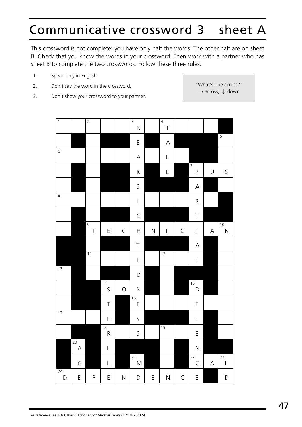# <span id="page-53-0"></span>Communicative crossword 3 sheet A

This crossword is not complete: you have only half the words. The other half are on sheet B. Check that you know the words in your crossword. Then work with a partner who has sheet B to complete the two crosswords. Follow these three rules:

- 1. Speak only in English.
- 2. Don't say the word in the crossword.
- 3. Don't show your crossword to your partner.

"What's one across?"

 $\rightarrow$  across,  $\downarrow$  down

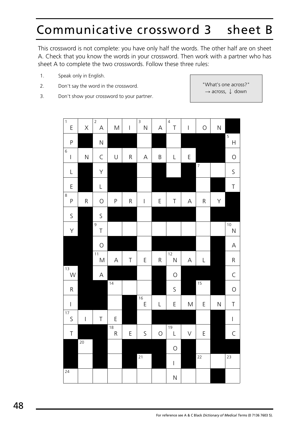# Communicative crossword 3 sheet B

This crossword is not complete: you have only half the words. The other half are on sheet A. Check that you know the words in your crossword. Then work with a partner who has sheet A to complete the two crosswords. Follow these three rules:

- 1. Speak only in English.
- 2. Don't say the word in the crossword.
- 3. Don't show your crossword to your partner.

"What's one across?"

 $\rightarrow$  across,  $\downarrow$  down

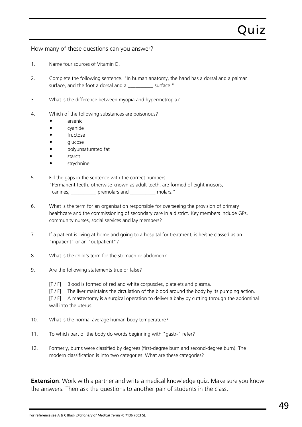<span id="page-55-0"></span>How many of these questions can you answer?

- 1. Name four sources of Vitamin D.
- 2. Complete the following sentence. "In human anatomy, the hand has a dorsal and a palmar surface, and the foot a dorsal and a \_\_\_\_\_\_\_\_\_\_ surface."
- 3. What is the difference between myopia and hypermetropia?
- 4. Which of the following substances are poisonous?
	- arsenic
	- cyanide
	- **•** fructose
	- glucose
	- polyunsaturated fat
	- starch
	- strychnine
- 5. Fill the gaps in the sentence with the correct numbers. "Permanent teeth, otherwise known as adult teeth, are formed of eight incisors, \_\_\_\_\_\_\_\_\_\_ canines, \_\_\_\_\_\_\_\_\_\_\_ premolars and \_\_\_\_\_\_\_ molars."
- 6. What is the term for an organisation responsible for overseeing the provision of primary healthcare and the commissioning of secondary care in a district. Key members include GPs, community nurses, social services and lay members?
- 7. If a patient is living at home and going to a hospital for treatment, is he/she classed as an "inpatient" or an "outpatient"?
- 8. What is the child's term for the stomach or abdomen?
- 9. Are the following statements true or false?
	- [T / F] Blood is formed of red and white corpuscles, platelets and plasma.
	- [T / F] The liver maintains the circulation of the blood around the body by its pumping action.

[T / F] A mastectomy is a surgical operation to deliver a baby by cutting through the abdominal wall into the uterus.

- 10. What is the normal average human body temperature?
- 11. To which part of the body do words beginning with "gastr-" refer?
- 12. Formerly, burns were classified by degrees (first-degree burn and second-degree burn). The modern classification is into two categories. What are these categories?

**Extension**. Work with a partner and write a medical knowledge quiz. Make sure you know the answers. Then ask the questions to another pair of students in the class.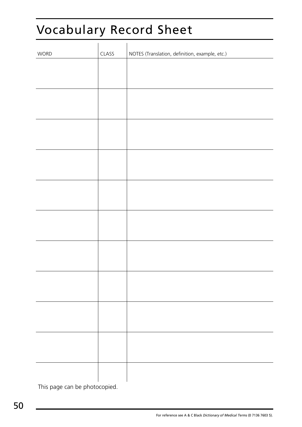# <span id="page-56-0"></span>Vocabulary Record Sheet

| <b>WORD</b> | $\mathsf{CLASS}\xspace$ | NOTES (Translation, definition, example, etc.) |
|-------------|-------------------------|------------------------------------------------|
|             |                         |                                                |
|             |                         |                                                |
|             |                         |                                                |
|             |                         |                                                |
|             |                         |                                                |
|             |                         |                                                |
|             |                         |                                                |
|             |                         |                                                |
|             |                         |                                                |
|             |                         |                                                |
|             |                         |                                                |
|             |                         |                                                |
|             |                         |                                                |
|             |                         |                                                |
|             |                         |                                                |
|             |                         |                                                |
|             |                         |                                                |
|             |                         |                                                |
|             |                         |                                                |
|             |                         |                                                |
|             |                         |                                                |

This page can be photocopied.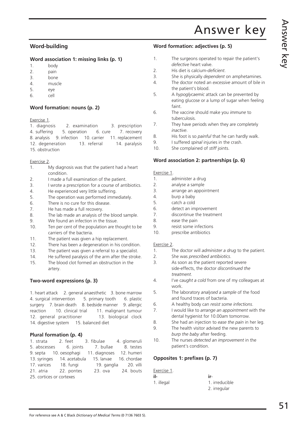### <span id="page-57-0"></span>**Word-building**

### **Word association 1: missing links (p. 1)**

- 1. body
- 2. pain
- 3. bone
- 4. muscle
- 5. eye
- 6. cell

### **Word formation: nouns (p. 2)**

### Exercise 1.

1. diagnosis 2. examination 3. prescription 4. suffering 5. operation 6. cure 7. recovery 8. analysis 9. infection 10. carrier 11. replacement 12. degeneration 13. referral 14. paralysis 15. obstruction

#### Exercise 2.

- 1. My diagnosis was that the patient had a heart condition.
- 2. I made a full examination of the patient.
- 3. I wrote a prescription for a course of antibiotics.
- 4. He experienced very little suffering.
- 5. The operation was performed immediately.
- 6. There is no cure for this disease.
- 7. He has made a full recovery.
- 8. The lab made an analysis of the blood sample.
- 9. We found an infection in the tissue.
- 10. Ten per cent of the population are thought to be carriers of the bacteria.
- 11. The patient was given a hip replacement.
- 12. There has been a degeneration in his condition.
- 13. The patient was given a referral to a specialist.
- 14. He suffered paralysis of the arm after the stroke. 15. The blood clot formed an obstruction in the artery.

### **Two-word expressions (p. 3)**

1. heart attack 2. general anaesthetic 3. bone marrow 4. surgical intervention 5. primary tooth 6. plastic surgery 7. brain death 8. bedside manner 9. allergic reaction 10. clinical trial 11. malignant tumour 12. general practitioner 13. biological clock 14. digestive system 15. balanced diet

### **Plural formation (p. 4)**

1. strata 2. feet 3. fibulae 4. glomeruli 5. abscesses 6. joints 7. bullae 8. testes 9. septa 10. oesophagi 11. diagnoses 12. humeri 13. syringes 14. acetabula 15. larvae 16. chordae 17. varices 18. fungi 19. ganglia 20. villi 21. atria 22. pontes 23. ova 24. bouts 25. cortices or cortexes

### **Word formation: adjectives (p. 5)**

- 1. The surgeons operated to repair the patient's *defective* heart valve.
- 2. His diet is calcium-*deficient*.
- 3. She is physically *dependent* on amphetamines. 4. The doctor noted an *excessive* amount of bile in

Answer key

- the patient's blood.
- 5. A *hypoglycaemic* attack can be prevented by eating glucose or a lump of sugar when feeling faint.
- 6. The vaccine should make you *immune* to tuberculosis.
- 7. They have periods when they are completely *inactive*.
- 8. His foot is so *painful* that he can hardly walk.
- 9. I suffered *spinal* injuries in the crash.
- 10. She complained of *stiff* joints.

### **Word association 2: partnerships (p. 6)**

#### Exercise 1.

- 1. administer a drug
- 2. analyse a sample
- 3. arrange an appointment
- 4. burp a baby
- 5. catch a cold
- 6. detect an improvement
- 7. discontinue the treatment
- 8. ease the pain
- 9. resist some infections
- 10. prescribe antibiotics

#### Exercise 2.

- 1. The doctor will *administer a drug* to the patient.
- 2. She was *prescribed antibiotics*.
- 3. As soon as the patient reported severe side-effects, the doctor *discontinued the treatment*.
- 4. I've *caught a cold* from one of my colleagues at work.
- 5. The laboratory *analysed a sample* of the food and found traces of bacteria.
- 6. A healthy body can *resist some infections*.
- 7. I would like to *arrange an appointment* with the dental hygienist for 10.00am tomorrow.
- 8. She had an injection to *ease the pain* in her leg.
- 9. The health visitor advised the new parents to *burp the baby* after feeding.
- 10. The nurses *detected an improvement* in the patient's condition.

### **Opposites 1: prefixes (p. 7)**

#### Exercise 1.

| il-        | ir-            |
|------------|----------------|
| 1. illegal | 1. irreducible |
|            | 2. irregular   |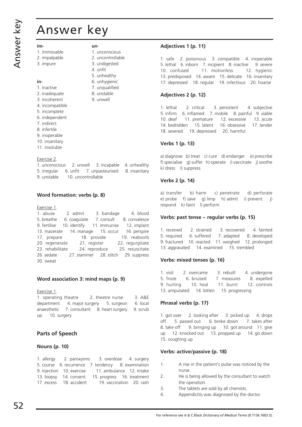#### **im- un**-

- 1. immovable 1. unconscious
- 2. impalpable 2. uncontrollable
- 3. impure 3. undigested
- in-<br>  $6.$  unhygienic
- 1. inactive 7. unqualified
- 2. inadequate 8. unstable
- 3. incoherent 9. unwell
- 4. incompatible
- 5. incomplete
- 6. independent
- 7. indirect
- 8. infertile
- 9. inoperable
- 10. insanitary
- 11. insoluble

#### Exercise 2.

|                                |  | 1. unconscious 2. unwell 3. incapable 4. unhealthy   |  |
|--------------------------------|--|------------------------------------------------------|--|
|                                |  | 5. irregular 6. unfit 7. unpasteurised 8. insanitary |  |
| 9. unstable 10. uncontrollable |  |                                                      |  |

4. unfit 5. unhealthy

#### **Word formation: verbs (p. 8)**

#### Exercise 1.

1. abuse 2. admit 3. bandage 4. blood 5. breathe 6. coagulate 7. consult 8. convalesce 9. fertilise 10. identify 11. immunise 12. implant 13. macerate 14. manage 15. occur 16. perspire 17. prepare 18. provide 19. reabsorb 20. regenerate 21. register 22. regurgitate 23. rehabilitate 24. reproduce 25. resuscitate 26. sedate 27. stammer 28. stitch 29. suppress 30. sweat

#### **Word association 3: mind maps (p. 9)**

Exercise 1.

1. operating theatre 2. theatre nurse 3. A&E department 4. major surgery 5. surgeon 6. local anaesthetic 7. consultant 8. heart surgery 9. scrub up 10. surgery

### **Parts of Speech**

#### **Nouns (p. 10)**

1. allergy 2. paroxysms 3. overdose 4. surgery 5. course 6. recurrence 7. tendency 8. examination 9. injection 10. exercise 11. ambulance 12. intake 13. biopsy 14. consent 15. progress 16. treatment 17. excess 18. accident 19. vaccination 20. rash

### **Adjectives 1 (p. 11)**

1. safe 2. poisonous 3. compatible 4. inoperable 5. lethal 6. inborn 7. incipient 8. inactive 9. severe 10. confused 11. motionless 12. hygienic 13. predisposed 14. aware 15. delicate 16. insanitary 17. depressed 18. regular 19. infectious 20. hoarse

### **Adjectives 2 (p. 12)**

1. lethal 2. critical 3. persistent 4. subjective 5. infirm 6. inflamed 7. mobile 8. painful 9. viable 10. deaf 11. premature 12. excessive 13. acute 14. bedridden 15. latent 16. obsessive 17. tender 18. severed 19. depressed 20. harmful

#### **Verbs 1 (p. 13)**

a) diagnose b) treat c) cure d) endanger e) prescribe f) specialise g) suffer h) operate i) vaccinate j) soothe k) dress l) suppress

#### **Verbs 2 (p. 14)**

a) transfer b) harm c) penetrate d) perforate e) probe f) save g) limp h) admit i) prevent j) respond k) faint l) perform

#### **Verbs: past tense ~ regular verbs (p. 15)**

1. received 2. strained 3. recovered 4. fainted 5. required 6. suffered 7. adapted 8. developed 9. fractured 10. reacted 11. weighed 12. prolonged 13. aggravated 14. examined 15. trembled

#### **Verbs: mixed tenses (p. 16)**

1. visit 2. overcame 3. rebuilt 4. undergone 5. froze 6. bruised 7. measures 8. expelled 9. hurting 10. heal 11. burnt 12. controls 13. amputated 14. bitten 15. progressing

### **Phrasal verbs (p. 17)**

1. got over 2. looking after 3. picked up 4. drops off 5. passed out 6. broke down 7. takes after 8. take off 9. bringing up 10. got around 11. give up 12. knocked out 13. propped up 14. go down 15. coughing up

#### **Verbs: active/passive (p. 18)**

- 1. A rise in the patient's pulse was noticed by the nurse.
- 2. He is being allowed by the consultant to watch the operation.
- 3. The tablets are sold by all chemists.
- 4. Appendicitis was diagnosed by the doctor.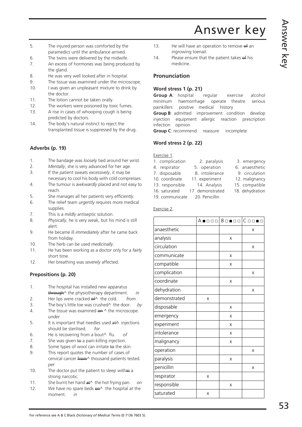- 5. The injured person was comforted by the paramedics until the ambulance arrived.
- 6. The twins were delivered by the midwife.
- 7. An excess of hormones was being produced by the gland.
- 8. He was very well looked after in hospital.
- 9. The tissue was examined under the microscope.
- 10. I was given an unpleasant mixture to drink by the doctor.
- 11. The lotion cannot be taken orally.
- 12. The workers were poisoned by toxic fumes.
- 13. A rise in cases of whooping cough is being predicted by doctors.
- 14. The body's natural instinct to reject the transplanted tissue is suppressed by the drug.

### **Adverbs (p. 19)**

- 1. The bandage was *loosely* tied around her wrist.
- 2. *Mentally*, she is very advanced for her age.
- 3. If the patient sweats *excessively*, it may be
- necessary to cool his body with cold compresses. 4. The tumour is *awkwardly* placed and not easy to
- reach. 5. She manages all her patients very *efficiently*.
- 6. The relief team *urgently* requires more medical supplies.
- 7. This is a *mildly* antiseptic solution.
- 8. *Physically*, he is very weak, but his mind is still alert.
- 9. He became ill *immediately* after he came back from holiday.
- 10. The herb can be used *medicinally*.
- 11. He has been working as a doctor only for a *fairly* short time.
- 12. Her breathing was *severely* affected.

### **Prepositions (p. 20)**

- 1. The hospital has installed new apparatus through^ the physiotherapy department. *in*
- 2. Her lips were cracked of^ the cold. *from*
- 3. The boy's little toe was crushed^ the door. *by*
- 4. The tissue was examined  $\theta$   $\theta$   $\wedge$  the microscope. *under*
- 5. It is important that needles used  $a \ddagger \triangle$  injections should be sterilised. *for*
- 6. He is recovering from a bout^ flu. *of*
- 7. She was given  $\leftrightarrow$  a pain-killing injection.
- 8. Some types of wool can irritate to the skin.
- 9. This report quotes the number of cases of cervical cancer from<sup>^</sup> thousand patients tested. *per*
- 10. The doctor put the patient to sleep within a strong narcotic.
- 11. She burnt her hand at^ the hot frying pan. *on*
- 12. We have no spare beds  $\theta$  the hospital at the moment. *in*
- 13. He will have an operation to remove of an ingrowing toenail.
- 14. Please ensure that the patient takes of his medicine.

### **Pronunciation**

### **Word stress 1 (p. 21)**

**Group A**: hospital regular exercise alcohol minimum haemorrhage operate theatre serious painkillers positive medical history

**Group B**: admitted improvement condition develop injection equipment allergic reaction prescription infection opinion

**Group C**: recommend reassure incomplete

### **Word stress 2 (p. 22)**

Exercise 1.

1. complication 2. paralysis 3. emergency 4. respirator 5. operation 6. anaesthetic 7. disposable 8. intolerance 9. circulation 10. coordinate 11. experiment 12. malignancy 13. responsible 14. Analysis 15. compatible 16. saturated 17. demonstrated 18. dehydration 19. communicate 20. Penicillin

#### Exercise 2.

|              | A■□□□ | $B \cup B \cup C$ | $C \Box \Box \blacksquare$ |
|--------------|-------|-------------------|----------------------------|
| anaesthetic  |       |                   | x                          |
| analysis     |       | X                 |                            |
| circulation  |       |                   | X                          |
| communicate  |       | X                 |                            |
| compatible   |       | X                 |                            |
| complication |       |                   | X                          |
| coordinate   |       | X                 |                            |
| dehydration  |       |                   | X                          |
| demonstrated | X     |                   |                            |
| disposable   |       | X                 |                            |
| emergency    |       | X                 |                            |
| experiment   |       | X                 |                            |
| intolerance  |       | X                 |                            |
| malignancy   |       | X                 |                            |
| operation    |       |                   | X                          |
| paralysis    |       | Χ                 |                            |
| penicillin   |       |                   | X                          |
| respirator   | X     |                   |                            |
| responsible  |       | Χ                 |                            |
| saturated    | X     |                   |                            |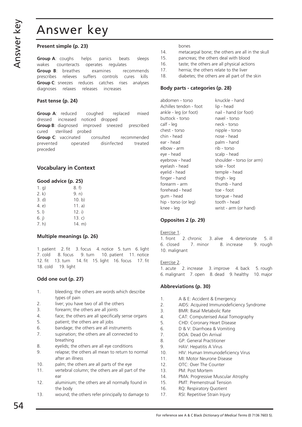### **Present simple (p. 23)**

**Group A**: coughs helps panics beats sleeps wakes counteracts operates regulates **Group B**: breathes examines recommends prescribes relieves suffers controls cures kills **Group C**: sneezes reduces catches rises analyses diagnoses relaxes releases increases

### **Past tense (p. 24)**

**Group A**: reduced coughed replaced mixed dressed increased noticed dropped

**Group B**: diagnosed improved sneezed prescribed cured sterilised probed

**Group C**: vaccinated consulted recommended prevented operated disinfected treated preceded

### **Vocabulary in Context**

#### **Good advice (p. 25)**

| 1. q) | 8. f)  |
|-------|--------|
| 2. k) | 9. n)  |
| 3. d) | 10. b) |
| 4. e) | 11. a) |
| 5.1   | 12. i) |
| 6. i) | 13. c) |
| 7. h) | 14. m) |

### **Multiple meanings (p. 26)**

1. patient 2. fit 3. focus 4. notice 5. turn 6. light 7. cold 8. focus 9. turn 10. patient 11. notice 12. fit 13. turn 14. fit 15. light 16. focus 17. fit 18. cold 19. light

### **Odd one out (p. 27)**

- 1. bleeding; the others are words which describe types of pain
- 2. liver; you have two of all the others
- 3. forearm; the others are all joints
- 4. face; the others are all specifically sense organs
- 5. patient; the others are all jobs
- 6. bandage; the others are all instruments
- 7. supination; the others are all connected to breathing
- 8. eyelids; the others are all eye conditions
- 9. relapse; the others all mean to return to normal after an illness
- 10. palm; the others are all parts of the eye
- 11. vertebral column; the others are all part of the ear
- 12. aluminium; the others are all normally found in the body
- 13. wound; the others refer principally to damage to

#### bones

- 14. metacarpal bone; the others are all in the skull
- 15. pancreas; the others deal with blood
- 16. taste; the others are all physical actions
- 17. hernia; the others relate to the liver 18. diabetes; the others are all part of the skin

### **Body parts - categories (p. 28)**

abdomen - torso knuckle - hand Achilles tendon - foot lip - head ankle - leg (or foot) nail - hand (or foot) buttock - torso navel - torso calf - leg neck - torso chest - torso nipple - torso chin - head nose - head ear - head palm - hand elbow - arm rib - torso eye - head scalp - head eyebrow - head shoulder - torso (or arm) eyelash - head sole - foot eyelid - head temple - head finger - hand thigh - leg forearm - arm thumb - hand forehead - head toe - foot gum - head tongue - head hip - torso (or leg) tooth - head knee - leg wrist - arm (or hand)

### **Opposites 2 (p. 29)**

### Exercise 1.

1. front 2. chronic 3. alive 4. deteriorate 5. ill 6. closed 7. minor 8. increase 9. rough 10. malignant

#### Exercise 2.

1. acute 2. increase 3. improve 4. back 5. rough 6. malignant 7. open 8. dead 9. healthy 10. major

### **Abbreviations (p. 30)**

- 1. A & E: Accident & Emergency
- 2. AIDS: Acquired Immunodeficiency Syndrome
- 3. BMR: Basal Metabolic Rate
- 4. CAT: Computerised Axial Tomography
- 5. CHD: Coronary Heart Disease
- 6. D & V: Diarrhoea & Vomiting
- 7. DOA: Dead On Arrival
- 8. GP: General Practitioner
- 9. HAV: Hepatitis A Virus
- 10. HIV: Human Immunodeficiency Virus
- 11. MI: Motor Neurone Disease
- 12. OTC: Over The Counter
- 13. PM: Post Mortem
- 14. PMA: Progressive Muscular Atrophy
- 15. PMT: Premenstrual Tension
- 16. RQ: Respiratory Quotient
- 17. RSI: Repetitive Strain Injury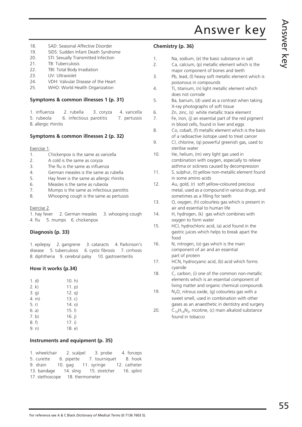- 18. SAD: Seasonal Affective Disorder
- 19. SIDS: Sudden Infant Death Syndrome
- 20. STI: Sexually Transmitted Infection
- 21. TB: Tuberculosis
- 22. TBI: Total Body Irradiation
- 23. UV: Ultraviolet
- 24. VDH: Valvular Disease of the Heart
- 25. WHO: World Health Organization

### **Symptoms & common illnesses 1 (p. 31)**

| 1. influenza                       | 2. rubella | 3. corvza | 4. varicella |
|------------------------------------|------------|-----------|--------------|
| 5. rubeola 6. infectious parotitis |            |           | 7. pertussis |
| 8. allergic rhinitis               |            |           |              |

### **Symptoms & common illnesses 2 (p. 32)**

### Exercise 1.

- 1. Chickenpox is the same as varicella
- 2. A cold is the same as coryza
- 3. The flu is the same as influenza
- 4. German measles is the same as rubella
- 5. Hay fever is the same as allergic rhinitis
- 6. Measles is the same as rubeola
- 7. Mumps is the same as infectious parotitis
- 8. Whooping cough is the same as pertussis

### Exercise 2.

1. hay fever 2. German measles 3. whooping cough 4. flu 5. mumps 6. chickenpox

### **Diagnosis (p. 33)**

1. epilepsy 2. gangrene 3. cataracts 4. Parkinson's disease 5. tuberculosis 6. cystic fibrosis 7. cirrhosis 8. diphtheria 9. cerebral palsy 10. gastroenteritis

### **How it works (p.34)**

| 1. d) | 10. h)   |
|-------|----------|
| 2. k) | 11. p)   |
| 3. g) | 12. q)   |
| 4. m) | 13. c)   |
| 5. r) | 14.0     |
| 6. a) | 15.1)    |
| 7. b) | 16. $i)$ |
| 8. f) | 17. i)   |
| 9. n) | 18. e)   |
|       |          |

### **Instruments and equipment (p. 35)**

1. wheelchair 2. scalpel 3. probe 4. forceps 5. curette 6. pipette 7. tourniquet 8. hook 9. drain 10. gag 11. syringe 12. catheter 13. bandage 14. sling 15. stretcher 16. splint 17. stethoscope 18. thermometer

### **Chemistry (p. 36)**

| 1.  | Na, sodium, (e) the basic substance in salt               |
|-----|-----------------------------------------------------------|
| 2.  | Ca, calcium, (p) metallic element which is the            |
|     | major component of bones and teeth                        |
| 3.  | Pb, lead, (I) heavy soft metallic element which is        |
|     | poisonous in compounds                                    |
| 4.  | Ti, titanium, (n) light metallic element which            |
|     | does not corrode                                          |
| 5.  | Ba, barium, (d) used as a contrast when taking            |
|     | X-ray photographs of soft tissue                          |
| 6.  | Zn, zinc, (s) white metallic trace element                |
| 7.  | Fe, iron, (j) an essential part of the red pigment        |
|     | in blood cells, found in liver and eggs                   |
| 8.  | Co, cobalt, (f) metallic element which is the basis       |
|     | of a radioactive isotope used to treat cancer             |
| 9.  | Cl, chlorine, (q) powerful greenish gas, used to          |
|     | sterilise water                                           |
| 10. | He, helium, (m) very light gas used in                    |
|     | combination with oxygen, especially to relieve            |
|     | asthma or sickness caused by decompression                |
| 11. | S, sulphur, (t) yellow non-metallic element found         |
|     | in some amino acids                                       |
| 12. | Au, gold, (r) soft yellow-coloured precious               |
|     | metal, used as a compound in various drugs, and           |
|     | sometimes as a filling for teeth                          |
| 13. | O, oxygen, (h) colourless gas which is present in         |
|     | air and essential to human life                           |
| 14. | H, hydrogen, (k) gas which combines with                  |
|     | oxygen to form water                                      |
| 15. | HCI, hydrochloric acid, (a) acid found in the             |
|     | gastric juices which helps to break apart the             |
|     | food                                                      |
| 16. | N, nitrogen, (o) gas which is the main                    |
|     | component of air and an essential                         |
|     | part of protein                                           |
| 17. | HCN, hydrocyanic acid, (b) acid which forms               |
|     | cyanide                                                   |
| 18. | C, carbon, (i) one of the common non-metallic             |
|     | elements which is an essential component of               |
|     | living matter and organic chemical compounds              |
| 19. | $N2O$ , nitrous oxide, (g) colourless gas with a          |
|     | sweet smell, used in combination with other               |
|     | gases as an anaesthetic in dentistry and surgery          |
| 20. | $C_{10}H_{14}N_2$ , nicotine, (c) main alkaloid substance |
|     | found in tobacco                                          |
|     |                                                           |
|     |                                                           |
|     |                                                           |
|     |                                                           |
|     |                                                           |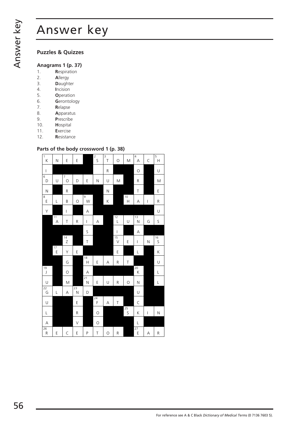### **Puzzles & Quizzes**

### **Anagrams 1 (p. 37)**

- 1. **Respiration**<br>2. **Allergy**
- Allergy
- 3. **D**aughter
- 4. **I**ncision
- 5. **O**peration
- 6. **G**erontology
- 7. **R**elapse
- 8. **A**pparatus 9. **P**rescribe
- 10. **H**ospital
- 11. **E**xercise
- 12. **R**esistance

### **Parts of the body crossword 1 (p. 38)**

| $\overline{1}$<br>K  | N                              | E                                   | E               |                              | $\overline{2}$<br>$\sf S$      | $\overline{\mathbf{3}}$<br>$\top$ | $\circ$      | M                          | $\overline{4}$<br>А  | $\subset$ | $\overline{5}$<br>Н  |
|----------------------|--------------------------------|-------------------------------------|-----------------|------------------------------|--------------------------------|-----------------------------------|--------------|----------------------------|----------------------|-----------|----------------------|
| $\overline{1}$       |                                |                                     |                 |                              |                                | ${\sf R}$                         |              |                            | $\circ$              |           | U                    |
| $6\overline{6}$<br>D | U                              | $\overline{\phantom{a}}$<br>$\circ$ | D               | E                            | N                              | U                                 | M            |                            | R                    |           | M                    |
| N                    |                                | $\mathsf R$                         |                 |                              |                                | N                                 |              |                            | Τ                    |           | E                    |
| 8<br>Ε               | L                              | B                                   | O               | 9<br>W                       |                                | Κ                                 |              | 10<br>Н                    | А                    | I         | R                    |
| Υ                    |                                | $\overline{\phantom{a}}$            |                 | Α                            |                                |                                   |              |                            |                      |           | U                    |
|                      | 11<br>$\mathsf A$              | Τ                                   | ${\sf R}$       | L                            | А                              |                                   | 12<br>L      | U                          | 13<br>${\sf N}$      | G         | S                    |
|                      |                                |                                     |                 | $\mathsf S$                  |                                |                                   | $\mathsf I$  |                            | А                    |           |                      |
|                      |                                | $\overline{14}$<br>$\mathsf Z$      |                 | T                            |                                |                                   | 15<br>$\vee$ | E                          | $\mathsf{I}$         | N         | $\overline{16}$<br>S |
|                      | $\overline{17}$<br>$\mathsf E$ | Υ                                   | E               |                              |                                |                                   | Е            |                            | L                    |           | Κ                    |
|                      |                                | G                                   |                 | 18<br>H                      | E                              | А                                 | ${\sf R}$    | $\top$                     |                      |           | U                    |
| 19<br>$\mathsf J$    |                                | $\circ$                             |                 | А                            |                                |                                   |              |                            | 20<br>К              |           | L                    |
| U                    |                                | M                                   |                 | $\overline{21}$<br>${\sf N}$ | E                              | U                                 | ${\sf R}$    | O                          | N                    |           | L                    |
| 22<br>G              | L                              | Α                                   | 23<br>${\sf N}$ | D                            |                                |                                   |              |                            | U                    |           |                      |
| U                    |                                |                                     | E               |                              | $\overline{24}$<br>$\mathsf F$ | А                                 | $\sf T$      |                            | $\mathsf C$          |           |                      |
| L                    |                                |                                     | ${\sf R}$       |                              | O                              |                                   |              | $\overline{25}$<br>$\sf S$ | K                    | T         | N                    |
| А                    |                                |                                     | V               |                              | 0                              |                                   |              |                            | L                    |           |                      |
| 26<br>${\sf R}$      | E                              | C                                   | E               | P                            | Τ                              | O                                 | R            |                            | $\overline{27}$<br>E | А         | ${\sf R}$            |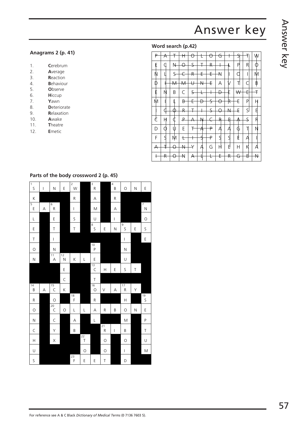### **Anagrams 2 (p. 41)**

| <b>C</b> erebrum |
|------------------|
| $\mathbf{A}$     |

- 2. **A**verage
- 3. **R**eaction 4. **B**ehaviour
- 5. **O**bserve
- 6. **H**iccup
- 7. **Y**awn
- 8. **D**eteriorate
- 9. **R**elaxation
- 10. **A**wake
- 11. **T**heatre
- 12. **E**metic

### **Word search (p.42)**

| Ρ                        | A   |          | Ħ     | 0 |   | A  | G            |   | S  | Ŧ  | W |
|--------------------------|-----|----------|-------|---|---|----|--------------|---|----|----|---|
| Ę                        | Œ   | N        | 0     | S | ∓ | R  |              | Ł | P  | R  |   |
| N                        |     | S        | $\in$ | R | Ð | E  | $\mathsf{A}$ | I | ∩  |    | M |
| D                        |     | М        | М     | ₩ | Ν | E  | А            |   | ╖  |    | ₿ |
| E                        | Ν   | Β        | C     | S |   |    | Ð            | F | ₩  | E  | Ŧ |
| M                        |     |          | В     | E | Ð | S  | 0            | R | £  | P  | H |
|                          | ¢   | ⊕        | R     | ∓ |   | S. | 0            | Ν | E. | SI | E |
| C                        | Η   | ſ        | ₽     | А | ₩ | €  | R            | ₽ | Ѧ  | S. | R |
| D                        | C D |          | Е     | Ŧ | А | ₱  | А            | А | G  | T  | Ν |
| F                        | ₹   | M        | ╈     |   | ٩ | P  | S            | S | Ė  | P  |   |
| $\overline{\mathcal{A}}$ |     | A        | ₦     | Y | А | G  | Η            | E | Н  | К  | А |
|                          | R   | $\Theta$ | N     | A | ₶ | Ε  | E            | R | ᠳ  | E  | ₦ |

### **Parts of the body crossword 2 (p. 45)**

| $\mathbf{1}$<br>S       | $\overline{1}$ | N                                                                                                                                                                                                                                                                                                                                                                                                              | E       | $\overline{2}$<br>W               |                      | $\overline{\mathbf{3}}$<br>${\sf R}$ |                      | $\overline{4}$<br>B | O              | N | E                   |
|-------------------------|----------------|----------------------------------------------------------------------------------------------------------------------------------------------------------------------------------------------------------------------------------------------------------------------------------------------------------------------------------------------------------------------------------------------------------------|---------|-----------------------------------|----------------------|--------------------------------------|----------------------|---------------------|----------------|---|---------------------|
| K                       |                |                                                                                                                                                                                                                                                                                                                                                                                                                |         | R                                 |                      | А                                    |                      | R                   |                |   |                     |
| $\overline{5}$<br>E     | А              | 6<br>R                                                                                                                                                                                                                                                                                                                                                                                                         |         | $\overline{1}$                    |                      | M                                    |                      | А                   |                |   | $\overline{7}$<br>N |
| L                       |                | E                                                                                                                                                                                                                                                                                                                                                                                                              |         | S                                 |                      | U                                    |                      | L                   |                |   | O                   |
| E                       |                | T                                                                                                                                                                                                                                                                                                                                                                                                              |         | Τ                                 |                      | 8<br>S                               | E                    | N                   | 9<br>S         | E | S                   |
| T                       |                | $\begin{array}{c} \rule{0pt}{2ex} \rule{0pt}{2ex} \rule{0pt}{2ex} \rule{0pt}{2ex} \rule{0pt}{2ex} \rule{0pt}{2ex} \rule{0pt}{2ex} \rule{0pt}{2ex} \rule{0pt}{2ex} \rule{0pt}{2ex} \rule{0pt}{2ex} \rule{0pt}{2ex} \rule{0pt}{2ex} \rule{0pt}{2ex} \rule{0pt}{2ex} \rule{0pt}{2ex} \rule{0pt}{2ex} \rule{0pt}{2ex} \rule{0pt}{2ex} \rule{0pt}{2ex} \rule{0pt}{2ex} \rule{0pt}{2ex} \rule{0pt}{2ex} \rule{0pt}{$ |         |                                   |                      |                                      |                      |                     | $\overline{1}$ |   | E                   |
| O                       |                | N                                                                                                                                                                                                                                                                                                                                                                                                              |         |                                   |                      | 10<br>${\sf P}$                      |                      |                     | N              |   |                     |
| N                       |                | 11<br>A                                                                                                                                                                                                                                                                                                                                                                                                        | 12<br>N | Κ                                 | $\overline{L}$       | E                                    |                      |                     | U              |   |                     |
|                         |                |                                                                                                                                                                                                                                                                                                                                                                                                                | E       |                                   |                      | 13<br>$\subset$                      | Η                    | E                   | S              | T |                     |
|                         |                |                                                                                                                                                                                                                                                                                                                                                                                                                | C       |                                   |                      | T                                    |                      |                     |                |   |                     |
| 14<br>B                 | A              | 15<br>$\subset$                                                                                                                                                                                                                                                                                                                                                                                                | К       |                                   |                      | 16<br>O                              | V                    | Α                   | 17<br>R        | Υ |                     |
| R                       |                | O                                                                                                                                                                                                                                                                                                                                                                                                              |         | 18<br>F                           |                      | R                                    |                      |                     | Η              |   | 19<br>S             |
| $\circ$                 |                | 20<br>$\mathsf C$                                                                                                                                                                                                                                                                                                                                                                                              | $\circ$ | $\mathsf L$                       | L                    | А                                    | R                    | B                   | 0              | N | E                   |
| $\overline{\mathsf{N}}$ |                | $\subset$                                                                                                                                                                                                                                                                                                                                                                                                      |         | А                                 |                      | L                                    |                      |                     | M              |   | P                   |
| $\subset$               |                | Υ                                                                                                                                                                                                                                                                                                                                                                                                              |         | B                                 |                      |                                      | $\overline{21}$<br>R | $\mathsf I$         | B              |   | T                   |
| $\mathsf{H}$            |                | $\mathsf X$                                                                                                                                                                                                                                                                                                                                                                                                    |         |                                   | $\overline{22}$<br>T |                                      | $\circ$              |                     | O              |   | U                   |
| U                       |                |                                                                                                                                                                                                                                                                                                                                                                                                                |         |                                   | O                    |                                      | O                    |                     | L              |   | Μ                   |
| S                       |                |                                                                                                                                                                                                                                                                                                                                                                                                                |         | $\overline{23}$<br>$\overline{F}$ | E                    | E                                    | $\mathsf T$          |                     | D              |   |                     |